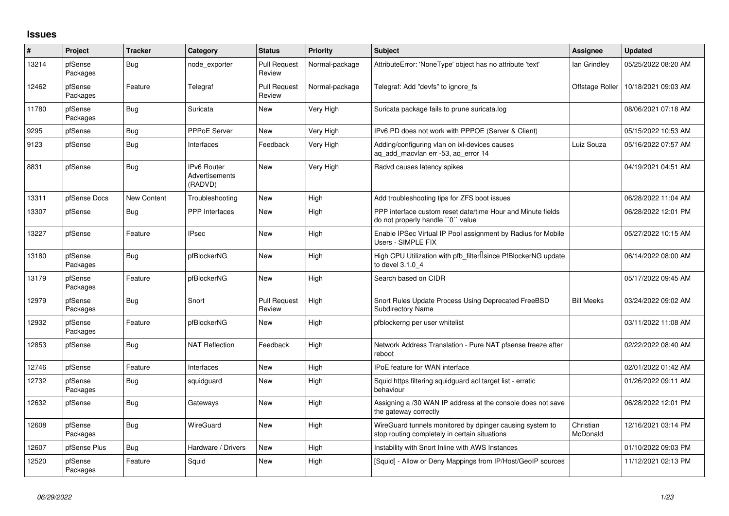## **Issues**

| #     | Project             | <b>Tracker</b>     | Category                                        | <b>Status</b>                 | <b>Priority</b> | <b>Subject</b>                                                                                            | Assignee              | <b>Updated</b>      |
|-------|---------------------|--------------------|-------------------------------------------------|-------------------------------|-----------------|-----------------------------------------------------------------------------------------------------------|-----------------------|---------------------|
| 13214 | pfSense<br>Packages | Bug                | node exporter                                   | <b>Pull Request</b><br>Review | Normal-package  | AttributeError: 'NoneType' object has no attribute 'text'                                                 | lan Grindley          | 05/25/2022 08:20 AM |
| 12462 | pfSense<br>Packages | Feature            | Telegraf                                        | <b>Pull Request</b><br>Review | Normal-package  | Telegraf: Add "devfs" to ignore_fs                                                                        | Offstage Roller       | 10/18/2021 09:03 AM |
| 11780 | pfSense<br>Packages | Bug                | Suricata                                        | New                           | Very High       | Suricata package fails to prune suricata.log                                                              |                       | 08/06/2021 07:18 AM |
| 9295  | pfSense             | <b>Bug</b>         | <b>PPPoE Server</b>                             | New                           | Very High       | IPv6 PD does not work with PPPOE (Server & Client)                                                        |                       | 05/15/2022 10:53 AM |
| 9123  | pfSense             | <b>Bug</b>         | Interfaces                                      | Feedback                      | Very High       | Adding/configuring vlan on ixl-devices causes<br>ag add macylan err -53, ag error 14                      | Luiz Souza            | 05/16/2022 07:57 AM |
| 8831  | pfSense             | <b>Bug</b>         | <b>IPv6 Router</b><br>Advertisements<br>(RADVD) | New                           | Very High       | Radvd causes latency spikes                                                                               |                       | 04/19/2021 04:51 AM |
| 13311 | pfSense Docs        | <b>New Content</b> | Troubleshooting                                 | New                           | High            | Add troubleshooting tips for ZFS boot issues                                                              |                       | 06/28/2022 11:04 AM |
| 13307 | pfSense             | <b>Bug</b>         | <b>PPP</b> Interfaces                           | New                           | High            | PPP interface custom reset date/time Hour and Minute fields<br>do not properly handle "0" value           |                       | 06/28/2022 12:01 PM |
| 13227 | pfSense             | Feature            | <b>IPsec</b>                                    | New                           | High            | Enable IPSec Virtual IP Pool assignment by Radius for Mobile<br>Users - SIMPLE FIX                        |                       | 05/27/2022 10:15 AM |
| 13180 | pfSense<br>Packages | <b>Bug</b>         | pfBlockerNG                                     | New                           | High            | High CPU Utilization with pfb filter Isince PfBlockerNG update<br>to devel 3.1.0 4                        |                       | 06/14/2022 08:00 AM |
| 13179 | pfSense<br>Packages | Feature            | pfBlockerNG                                     | New                           | High            | Search based on CIDR                                                                                      |                       | 05/17/2022 09:45 AM |
| 12979 | pfSense<br>Packages | <b>Bug</b>         | Snort                                           | <b>Pull Request</b><br>Review | High            | Snort Rules Update Process Using Deprecated FreeBSD<br><b>Subdirectory Name</b>                           | <b>Bill Meeks</b>     | 03/24/2022 09:02 AM |
| 12932 | pfSense<br>Packages | Feature            | pfBlockerNG                                     | New                           | High            | pfblockerng per user whitelist                                                                            |                       | 03/11/2022 11:08 AM |
| 12853 | pfSense             | <b>Bug</b>         | <b>NAT Reflection</b>                           | Feedback                      | High            | Network Address Translation - Pure NAT pfsense freeze after<br>reboot                                     |                       | 02/22/2022 08:40 AM |
| 12746 | pfSense             | Feature            | Interfaces                                      | New                           | High            | <b>IPoE</b> feature for WAN interface                                                                     |                       | 02/01/2022 01:42 AM |
| 12732 | pfSense<br>Packages | <b>Bug</b>         | squidguard                                      | New                           | High            | Squid https filtering squidguard acl target list - erratic<br>behaviour                                   |                       | 01/26/2022 09:11 AM |
| 12632 | pfSense             | <b>Bug</b>         | Gateways                                        | New                           | High            | Assigning a /30 WAN IP address at the console does not save<br>the gateway correctly                      |                       | 06/28/2022 12:01 PM |
| 12608 | pfSense<br>Packages | <b>Bug</b>         | WireGuard                                       | New                           | High            | WireGuard tunnels monitored by dpinger causing system to<br>stop routing completely in certain situations | Christian<br>McDonald | 12/16/2021 03:14 PM |
| 12607 | pfSense Plus        | <b>Bug</b>         | Hardware / Drivers                              | New                           | High            | Instability with Snort Inline with AWS Instances                                                          |                       | 01/10/2022 09:03 PM |
| 12520 | pfSense<br>Packages | Feature            | Squid                                           | New                           | High            | [Squid] - Allow or Deny Mappings from IP/Host/GeoIP sources                                               |                       | 11/12/2021 02:13 PM |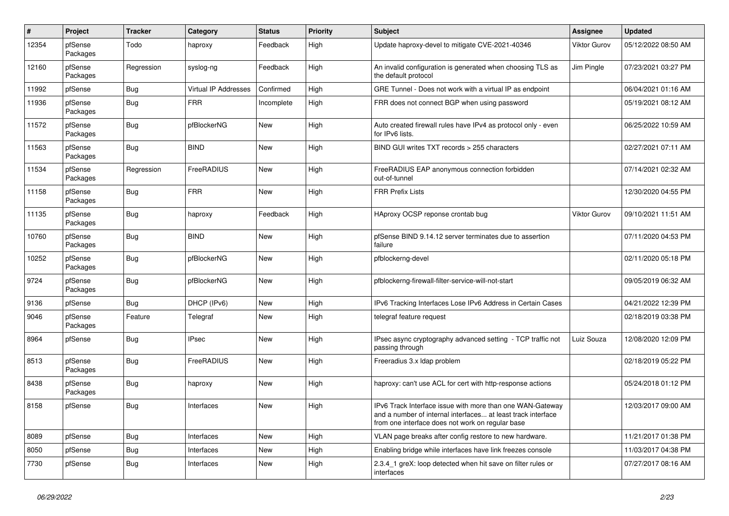| $\sharp$ | Project             | <b>Tracker</b> | Category             | <b>Status</b> | <b>Priority</b> | <b>Subject</b>                                                                                                                                                                | <b>Assignee</b> | <b>Updated</b>      |
|----------|---------------------|----------------|----------------------|---------------|-----------------|-------------------------------------------------------------------------------------------------------------------------------------------------------------------------------|-----------------|---------------------|
| 12354    | pfSense<br>Packages | Todo           | haproxy              | Feedback      | High            | Update haproxy-devel to mitigate CVE-2021-40346                                                                                                                               | Viktor Gurov    | 05/12/2022 08:50 AM |
| 12160    | pfSense<br>Packages | Regression     | syslog-ng            | Feedback      | High            | An invalid configuration is generated when choosing TLS as<br>the default protocol                                                                                            | Jim Pingle      | 07/23/2021 03:27 PM |
| 11992    | pfSense             | <b>Bug</b>     | Virtual IP Addresses | Confirmed     | High            | GRE Tunnel - Does not work with a virtual IP as endpoint                                                                                                                      |                 | 06/04/2021 01:16 AM |
| 11936    | pfSense<br>Packages | Bug            | <b>FRR</b>           | Incomplete    | High            | FRR does not connect BGP when using password                                                                                                                                  |                 | 05/19/2021 08:12 AM |
| 11572    | pfSense<br>Packages | Bug            | pfBlockerNG          | New           | High            | Auto created firewall rules have IPv4 as protocol only - even<br>for IPv6 lists.                                                                                              |                 | 06/25/2022 10:59 AM |
| 11563    | pfSense<br>Packages | <b>Bug</b>     | <b>BIND</b>          | <b>New</b>    | High            | BIND GUI writes TXT records > 255 characters                                                                                                                                  |                 | 02/27/2021 07:11 AM |
| 11534    | pfSense<br>Packages | Regression     | FreeRADIUS           | <b>New</b>    | High            | FreeRADIUS EAP anonymous connection forbidden<br>out-of-tunnel                                                                                                                |                 | 07/14/2021 02:32 AM |
| 11158    | pfSense<br>Packages | <b>Bug</b>     | <b>FRR</b>           | <b>New</b>    | High            | <b>FRR Prefix Lists</b>                                                                                                                                                       |                 | 12/30/2020 04:55 PM |
| 11135    | pfSense<br>Packages | <b>Bug</b>     | haproxy              | Feedback      | High            | HAproxy OCSP reponse crontab bug                                                                                                                                              | Viktor Gurov    | 09/10/2021 11:51 AM |
| 10760    | pfSense<br>Packages | <b>Bug</b>     | <b>BIND</b>          | New           | High            | pfSense BIND 9.14.12 server terminates due to assertion<br>failure                                                                                                            |                 | 07/11/2020 04:53 PM |
| 10252    | pfSense<br>Packages | Bug            | pfBlockerNG          | <b>New</b>    | High            | pfblockerng-devel                                                                                                                                                             |                 | 02/11/2020 05:18 PM |
| 9724     | pfSense<br>Packages | <b>Bug</b>     | pfBlockerNG          | New           | High            | pfblockerng-firewall-filter-service-will-not-start                                                                                                                            |                 | 09/05/2019 06:32 AM |
| 9136     | pfSense             | Bug            | DHCP (IPv6)          | New           | High            | IPv6 Tracking Interfaces Lose IPv6 Address in Certain Cases                                                                                                                   |                 | 04/21/2022 12:39 PM |
| 9046     | pfSense<br>Packages | Feature        | Telegraf             | New           | High            | telegraf feature request                                                                                                                                                      |                 | 02/18/2019 03:38 PM |
| 8964     | pfSense             | Bug            | <b>IPsec</b>         | <b>New</b>    | High            | IPsec async cryptography advanced setting - TCP traffic not<br>passing through                                                                                                | Luiz Souza      | 12/08/2020 12:09 PM |
| 8513     | pfSense<br>Packages | <b>Bug</b>     | FreeRADIUS           | New           | High            | Freeradius 3.x Idap problem                                                                                                                                                   |                 | 02/18/2019 05:22 PM |
| 8438     | pfSense<br>Packages | Bug            | haproxy              | <b>New</b>    | High            | haproxy: can't use ACL for cert with http-response actions                                                                                                                    |                 | 05/24/2018 01:12 PM |
| 8158     | pfSense             | <b>Bug</b>     | Interfaces           | New           | High            | IPv6 Track Interface issue with more than one WAN-Gateway<br>and a number of internal interfaces at least track interface<br>from one interface does not work on regular base |                 | 12/03/2017 09:00 AM |
| 8089     | pfSense             | Bug            | Interfaces           | New           | High            | VLAN page breaks after config restore to new hardware.                                                                                                                        |                 | 11/21/2017 01:38 PM |
| 8050     | pfSense             | Bug            | Interfaces           | New           | High            | Enabling bridge while interfaces have link freezes console                                                                                                                    |                 | 11/03/2017 04:38 PM |
| 7730     | pfSense             | Bug            | Interfaces           | <b>New</b>    | High            | 2.3.4 1 greX: loop detected when hit save on filter rules or<br>interfaces                                                                                                    |                 | 07/27/2017 08:16 AM |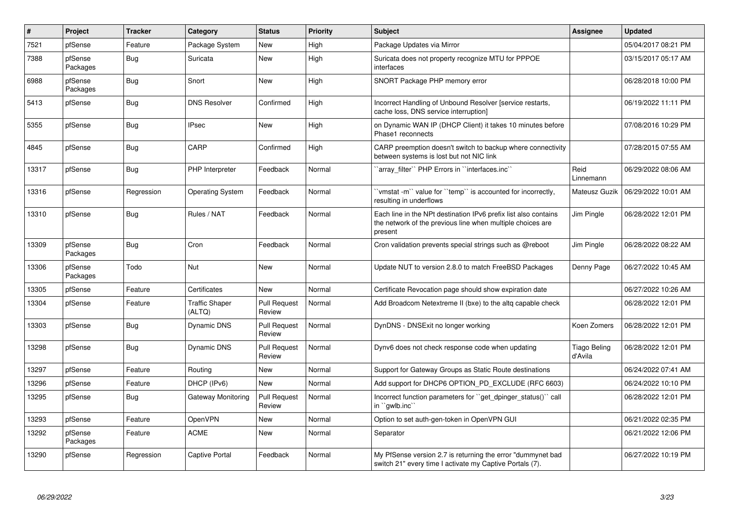| $\pmb{\#}$ | Project             | <b>Tracker</b> | Category                        | <b>Status</b>                 | <b>Priority</b> | <b>Subject</b>                                                                                                                           | <b>Assignee</b>         | <b>Updated</b>      |
|------------|---------------------|----------------|---------------------------------|-------------------------------|-----------------|------------------------------------------------------------------------------------------------------------------------------------------|-------------------------|---------------------|
| 7521       | pfSense             | Feature        | Package System                  | <b>New</b>                    | High            | Package Updates via Mirror                                                                                                               |                         | 05/04/2017 08:21 PM |
| 7388       | pfSense<br>Packages | <b>Bug</b>     | Suricata                        | New                           | High            | Suricata does not property recognize MTU for PPPOE<br>interfaces                                                                         |                         | 03/15/2017 05:17 AM |
| 6988       | pfSense<br>Packages | <b>Bug</b>     | Snort                           | New                           | High            | SNORT Package PHP memory error                                                                                                           |                         | 06/28/2018 10:00 PM |
| 5413       | pfSense             | <b>Bug</b>     | <b>DNS Resolver</b>             | Confirmed                     | High            | Incorrect Handling of Unbound Resolver [service restarts,<br>cache loss, DNS service interruption]                                       |                         | 06/19/2022 11:11 PM |
| 5355       | pfSense             | <b>Bug</b>     | <b>IPsec</b>                    | <b>New</b>                    | High            | on Dynamic WAN IP (DHCP Client) it takes 10 minutes before<br>Phase1 reconnects                                                          |                         | 07/08/2016 10:29 PM |
| 4845       | pfSense             | <b>Bug</b>     | CARP                            | Confirmed                     | High            | CARP preemption doesn't switch to backup where connectivity<br>between systems is lost but not NIC link                                  |                         | 07/28/2015 07:55 AM |
| 13317      | pfSense             | Bug            | PHP Interpreter                 | Feedback                      | Normal          | `array filter`` PHP Errors in ``interfaces.inc``                                                                                         | Reid<br>Linnemann       | 06/29/2022 08:06 AM |
| 13316      | pfSense             | Regression     | <b>Operating System</b>         | Feedback                      | Normal          | 'vmstat -m'` value for ''temp'' is accounted for incorrectly,<br>resulting in underflows                                                 | Mateusz Guzik           | 06/29/2022 10:01 AM |
| 13310      | pfSense             | Bug            | Rules / NAT                     | Feedback                      | Normal          | Each line in the NPt destination IPv6 prefix list also contains<br>the network of the previous line when multiple choices are<br>present | Jim Pingle              | 06/28/2022 12:01 PM |
| 13309      | pfSense<br>Packages | Bug            | Cron                            | Feedback                      | Normal          | Cron validation prevents special strings such as @reboot                                                                                 | Jim Pingle              | 06/28/2022 08:22 AM |
| 13306      | pfSense<br>Packages | Todo           | Nut                             | <b>New</b>                    | Normal          | Update NUT to version 2.8.0 to match FreeBSD Packages                                                                                    | Denny Page              | 06/27/2022 10:45 AM |
| 13305      | pfSense             | Feature        | Certificates                    | <b>New</b>                    | Normal          | Certificate Revocation page should show expiration date                                                                                  |                         | 06/27/2022 10:26 AM |
| 13304      | pfSense             | Feature        | <b>Traffic Shaper</b><br>(ALTQ) | <b>Pull Request</b><br>Review | Normal          | Add Broadcom Netextreme II (bxe) to the altg capable check                                                                               |                         | 06/28/2022 12:01 PM |
| 13303      | pfSense             | Bug            | Dynamic DNS                     | <b>Pull Request</b><br>Review | Normal          | DynDNS - DNSExit no longer working                                                                                                       | Koen Zomers             | 06/28/2022 12:01 PM |
| 13298      | pfSense             | <b>Bug</b>     | Dynamic DNS                     | <b>Pull Request</b><br>Review | Normal          | Dynv6 does not check response code when updating                                                                                         | Tiago Beling<br>d'Avila | 06/28/2022 12:01 PM |
| 13297      | pfSense             | Feature        | Routing                         | New                           | Normal          | Support for Gateway Groups as Static Route destinations                                                                                  |                         | 06/24/2022 07:41 AM |
| 13296      | pfSense             | Feature        | DHCP (IPv6)                     | <b>New</b>                    | Normal          | Add support for DHCP6 OPTION PD EXCLUDE (RFC 6603)                                                                                       |                         | 06/24/2022 10:10 PM |
| 13295      | pfSense             | Bug            | Gateway Monitoring              | <b>Pull Request</b><br>Review | Normal          | Incorrect function parameters for "get dpinger status()" call<br>in ``qwlb.inc``                                                         |                         | 06/28/2022 12:01 PM |
| 13293      | pfSense             | Feature        | <b>OpenVPN</b>                  | New                           | Normal          | Option to set auth-gen-token in OpenVPN GUI                                                                                              |                         | 06/21/2022 02:35 PM |
| 13292      | pfSense<br>Packages | Feature        | <b>ACME</b>                     | New                           | Normal          | Separator                                                                                                                                |                         | 06/21/2022 12:06 PM |
| 13290      | pfSense             | Regression     | Captive Portal                  | Feedback                      | Normal          | My PfSense version 2.7 is returning the error "dummynet bad<br>switch 21" every time I activate my Captive Portals (7).                  |                         | 06/27/2022 10:19 PM |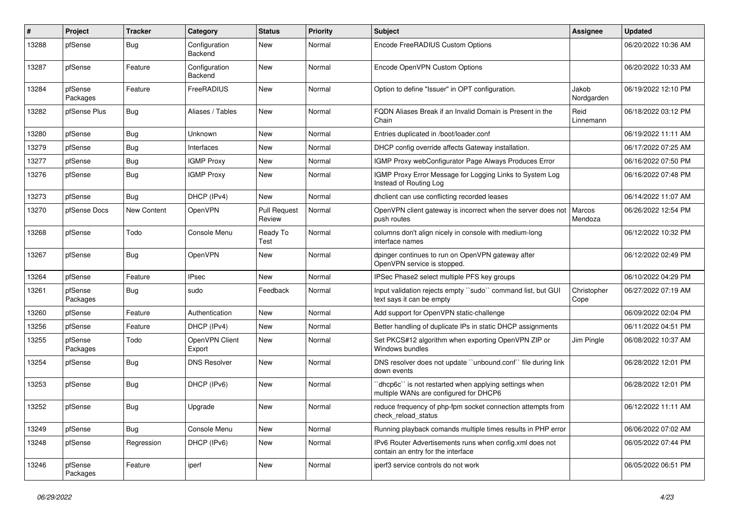| #     | Project             | <b>Tracker</b>     | Category                 | <b>Status</b>                 | <b>Priority</b> | <b>Subject</b>                                                                                  | Assignee            | <b>Updated</b>      |
|-------|---------------------|--------------------|--------------------------|-------------------------------|-----------------|-------------------------------------------------------------------------------------------------|---------------------|---------------------|
| 13288 | pfSense             | <b>Bug</b>         | Configuration<br>Backend | New                           | Normal          | Encode FreeRADIUS Custom Options                                                                |                     | 06/20/2022 10:36 AM |
| 13287 | pfSense             | Feature            | Configuration<br>Backend | New                           | Normal          | Encode OpenVPN Custom Options                                                                   |                     | 06/20/2022 10:33 AM |
| 13284 | pfSense<br>Packages | Feature            | FreeRADIUS               | New                           | Normal          | Option to define "Issuer" in OPT configuration.                                                 | Jakob<br>Nordgarden | 06/19/2022 12:10 PM |
| 13282 | pfSense Plus        | Bug                | Aliases / Tables         | New                           | Normal          | FODN Aliases Break if an Invalid Domain is Present in the<br>Chain                              | Reid<br>Linnemann   | 06/18/2022 03:12 PM |
| 13280 | pfSense             | <b>Bug</b>         | Unknown                  | New                           | Normal          | Entries duplicated in /boot/loader.conf                                                         |                     | 06/19/2022 11:11 AM |
| 13279 | pfSense             | <b>Bug</b>         | Interfaces               | New                           | Normal          | DHCP config override affects Gateway installation.                                              |                     | 06/17/2022 07:25 AM |
| 13277 | pfSense             | <b>Bug</b>         | <b>IGMP Proxy</b>        | New                           | Normal          | IGMP Proxy webConfigurator Page Always Produces Error                                           |                     | 06/16/2022 07:50 PM |
| 13276 | pfSense             | <b>Bug</b>         | <b>IGMP Proxy</b>        | New                           | Normal          | IGMP Proxy Error Message for Logging Links to System Log<br>Instead of Routing Log              |                     | 06/16/2022 07:48 PM |
| 13273 | pfSense             | Bug                | DHCP (IPv4)              | New                           | Normal          | dhclient can use conflicting recorded leases                                                    |                     | 06/14/2022 11:07 AM |
| 13270 | pfSense Docs        | <b>New Content</b> | OpenVPN                  | <b>Pull Request</b><br>Review | Normal          | OpenVPN client gateway is incorrect when the server does not<br>push routes                     | Marcos<br>Mendoza   | 06/26/2022 12:54 PM |
| 13268 | pfSense             | Todo               | Console Menu             | Ready To<br>Test              | Normal          | columns don't align nicely in console with medium-long<br>interface names                       |                     | 06/12/2022 10:32 PM |
| 13267 | pfSense             | <b>Bug</b>         | OpenVPN                  | New                           | Normal          | dpinger continues to run on OpenVPN gateway after<br>OpenVPN service is stopped.                |                     | 06/12/2022 02:49 PM |
| 13264 | pfSense             | Feature            | <b>IPsec</b>             | New                           | Normal          | IPSec Phase2 select multiple PFS key groups                                                     |                     | 06/10/2022 04:29 PM |
| 13261 | pfSense<br>Packages | Bug                | sudo                     | Feedback                      | Normal          | Input validation rejects empty "sudo" command list, but GUI<br>text says it can be empty        | Christopher<br>Cope | 06/27/2022 07:19 AM |
| 13260 | pfSense             | Feature            | Authentication           | New                           | Normal          | Add support for OpenVPN static-challenge                                                        |                     | 06/09/2022 02:04 PM |
| 13256 | pfSense             | Feature            | DHCP (IPv4)              | New                           | Normal          | Better handling of duplicate IPs in static DHCP assignments                                     |                     | 06/11/2022 04:51 PM |
| 13255 | pfSense<br>Packages | Todo               | OpenVPN Client<br>Export | New                           | Normal          | Set PKCS#12 algorithm when exporting OpenVPN ZIP or<br>Windows bundles                          | Jim Pingle          | 06/08/2022 10:37 AM |
| 13254 | pfSense             | <b>Bug</b>         | <b>DNS Resolver</b>      | New                           | Normal          | DNS resolver does not update "unbound.conf" file during link<br>down events                     |                     | 06/28/2022 12:01 PM |
| 13253 | pfSense             | <b>Bug</b>         | DHCP (IPv6)              | New                           | Normal          | 'dhcp6c' is not restarted when applying settings when<br>multiple WANs are configured for DHCP6 |                     | 06/28/2022 12:01 PM |
| 13252 | pfSense             | <b>Bug</b>         | Upgrade                  | New                           | Normal          | reduce frequency of php-fpm socket connection attempts from<br>check_reload_status              |                     | 06/12/2022 11:11 AM |
| 13249 | pfSense             | <b>Bug</b>         | Console Menu             | New                           | Normal          | Running playback comands multiple times results in PHP error                                    |                     | 06/06/2022 07:02 AM |
| 13248 | pfSense             | Regression         | DHCP (IPv6)              | New                           | Normal          | IPv6 Router Advertisements runs when config.xml does not<br>contain an entry for the interface  |                     | 06/05/2022 07:44 PM |
| 13246 | pfSense<br>Packages | Feature            | iperf                    | New                           | Normal          | iperf3 service controls do not work                                                             |                     | 06/05/2022 06:51 PM |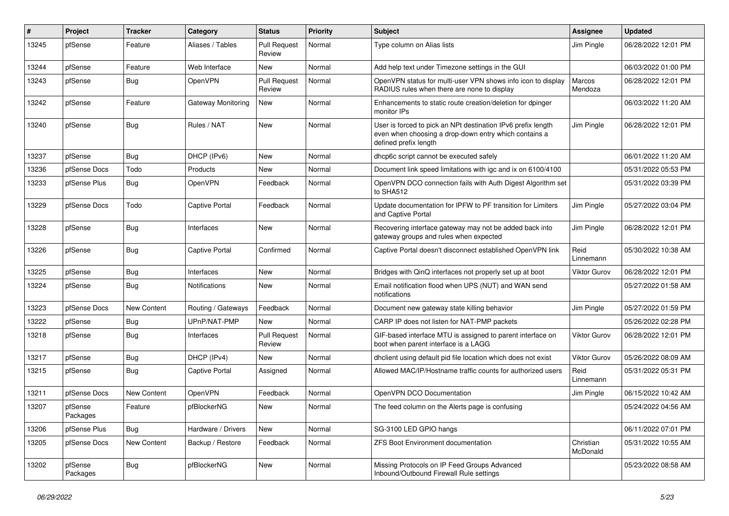| #     | Project             | Tracker     | Category              | <b>Status</b>                 | <b>Priority</b> | Subject                                                                                                                                        | <b>Assignee</b>       | <b>Updated</b>      |
|-------|---------------------|-------------|-----------------------|-------------------------------|-----------------|------------------------------------------------------------------------------------------------------------------------------------------------|-----------------------|---------------------|
| 13245 | pfSense             | Feature     | Aliases / Tables      | <b>Pull Request</b><br>Review | Normal          | Type column on Alias lists                                                                                                                     | Jim Pingle            | 06/28/2022 12:01 PM |
| 13244 | pfSense             | Feature     | Web Interface         | <b>New</b>                    | Normal          | Add help text under Timezone settings in the GUI                                                                                               |                       | 06/03/2022 01:00 PM |
| 13243 | pfSense             | <b>Bug</b>  | <b>OpenVPN</b>        | <b>Pull Request</b><br>Review | Normal          | OpenVPN status for multi-user VPN shows info icon to display<br>RADIUS rules when there are none to display                                    | Marcos<br>Mendoza     | 06/28/2022 12:01 PM |
| 13242 | pfSense             | Feature     | Gateway Monitoring    | New                           | Normal          | Enhancements to static route creation/deletion for dpinger<br>monitor IPs                                                                      |                       | 06/03/2022 11:20 AM |
| 13240 | pfSense             | <b>Bug</b>  | Rules / NAT           | <b>New</b>                    | Normal          | User is forced to pick an NPt destination IPv6 prefix length<br>even when choosing a drop-down entry which contains a<br>defined prefix length | Jim Pingle            | 06/28/2022 12:01 PM |
| 13237 | pfSense             | Bug         | DHCP (IPv6)           | New                           | Normal          | dhcp6c script cannot be executed safely                                                                                                        |                       | 06/01/2022 11:20 AM |
| 13236 | pfSense Docs        | Todo        | Products              | New                           | Normal          | Document link speed limitations with igc and ix on 6100/4100                                                                                   |                       | 05/31/2022 05:53 PM |
| 13233 | pfSense Plus        | <b>Bug</b>  | OpenVPN               | Feedback                      | Normal          | OpenVPN DCO connection fails with Auth Digest Algorithm set<br>to SHA512                                                                       |                       | 05/31/2022 03:39 PM |
| 13229 | pfSense Docs        | Todo        | Captive Portal        | Feedback                      | Normal          | Update documentation for IPFW to PF transition for Limiters<br>and Captive Portal                                                              | Jim Pingle            | 05/27/2022 03:04 PM |
| 13228 | pfSense             | <b>Bug</b>  | Interfaces            | New                           | Normal          | Recovering interface gateway may not be added back into<br>gateway groups and rules when expected                                              | Jim Pingle            | 06/28/2022 12:01 PM |
| 13226 | pfSense             | Bug         | <b>Captive Portal</b> | Confirmed                     | Normal          | Captive Portal doesn't disconnect established OpenVPN link                                                                                     | Reid<br>Linnemann     | 05/30/2022 10:38 AM |
| 13225 | pfSense             | <b>Bug</b>  | Interfaces            | New                           | Normal          | Bridges with QinQ interfaces not properly set up at boot                                                                                       | Viktor Gurov          | 06/28/2022 12:01 PM |
| 13224 | pfSense             | <b>Bug</b>  | Notifications         | New                           | Normal          | Email notification flood when UPS (NUT) and WAN send<br>notifications                                                                          |                       | 05/27/2022 01:58 AM |
| 13223 | pfSense Docs        | New Content | Routing / Gateways    | Feedback                      | Normal          | Document new gateway state killing behavior                                                                                                    | Jim Pingle            | 05/27/2022 01:59 PM |
| 13222 | pfSense             | <b>Bug</b>  | UPnP/NAT-PMP          | New                           | Normal          | CARP IP does not listen for NAT-PMP packets                                                                                                    |                       | 05/26/2022 02:28 PM |
| 13218 | pfSense             | Bug         | Interfaces            | <b>Pull Request</b><br>Review | Normal          | GIF-based interface MTU is assigned to parent interface on<br>boot when parent interface is a LAGG                                             | Viktor Gurov          | 06/28/2022 12:01 PM |
| 13217 | pfSense             | <b>Bug</b>  | DHCP (IPv4)           | New                           | Normal          | dhclient using default pid file location which does not exist                                                                                  | <b>Viktor Gurov</b>   | 05/26/2022 08:09 AM |
| 13215 | pfSense             | <b>Bug</b>  | <b>Captive Portal</b> | Assigned                      | Normal          | Allowed MAC/IP/Hostname traffic counts for authorized users                                                                                    | Reid<br>Linnemann     | 05/31/2022 05:31 PM |
| 13211 | pfSense Docs        | New Content | <b>OpenVPN</b>        | Feedback                      | Normal          | OpenVPN DCO Documentation                                                                                                                      | Jim Pingle            | 06/15/2022 10:42 AM |
| 13207 | pfSense<br>Packages | Feature     | pfBlockerNG           | New                           | Normal          | The feed column on the Alerts page is confusing                                                                                                |                       | 05/24/2022 04:56 AM |
| 13206 | pfSense Plus        | Bug         | Hardware / Drivers    | New                           | Normal          | SG-3100 LED GPIO hangs                                                                                                                         |                       | 06/11/2022 07:01 PM |
| 13205 | pfSense Docs        | New Content | Backup / Restore      | Feedback                      | Normal          | ZFS Boot Environment documentation                                                                                                             | Christian<br>McDonald | 05/31/2022 10:55 AM |
| 13202 | pfSense<br>Packages | Bug         | pfBlockerNG           | New                           | Normal          | Missing Protocols on IP Feed Groups Advanced<br>Inbound/Outbound Firewall Rule settings                                                        |                       | 05/23/2022 08:58 AM |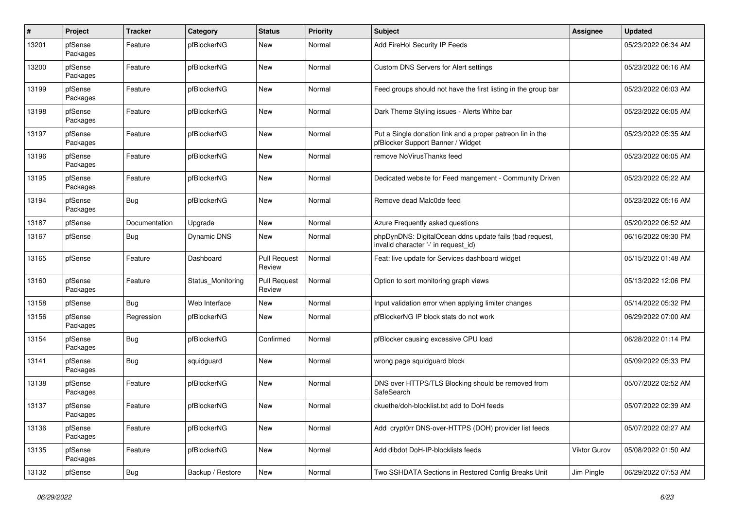| #     | Project             | <b>Tracker</b> | Category          | <b>Status</b>                 | <b>Priority</b> | <b>Subject</b>                                                                                  | <b>Assignee</b> | <b>Updated</b>      |
|-------|---------------------|----------------|-------------------|-------------------------------|-----------------|-------------------------------------------------------------------------------------------------|-----------------|---------------------|
| 13201 | pfSense<br>Packages | Feature        | pfBlockerNG       | New                           | Normal          | Add FireHol Security IP Feeds                                                                   |                 | 05/23/2022 06:34 AM |
| 13200 | pfSense<br>Packages | Feature        | pfBlockerNG       | New                           | Normal          | Custom DNS Servers for Alert settings                                                           |                 | 05/23/2022 06:16 AM |
| 13199 | pfSense<br>Packages | Feature        | pfBlockerNG       | New                           | Normal          | Feed groups should not have the first listing in the group bar                                  |                 | 05/23/2022 06:03 AM |
| 13198 | pfSense<br>Packages | Feature        | pfBlockerNG       | New                           | Normal          | Dark Theme Styling issues - Alerts White bar                                                    |                 | 05/23/2022 06:05 AM |
| 13197 | pfSense<br>Packages | Feature        | pfBlockerNG       | New                           | Normal          | Put a Single donation link and a proper patreon lin in the<br>pfBlocker Support Banner / Widget |                 | 05/23/2022 05:35 AM |
| 13196 | pfSense<br>Packages | Feature        | pfBlockerNG       | New                           | Normal          | remove NoVirusThanks feed                                                                       |                 | 05/23/2022 06:05 AM |
| 13195 | pfSense<br>Packages | Feature        | pfBlockerNG       | New                           | Normal          | Dedicated website for Feed mangement - Community Driven                                         |                 | 05/23/2022 05:22 AM |
| 13194 | pfSense<br>Packages | Bug            | pfBlockerNG       | New                           | Normal          | Remove dead Malc0de feed                                                                        |                 | 05/23/2022 05:16 AM |
| 13187 | pfSense             | Documentation  | Upgrade           | New                           | Normal          | Azure Frequently asked questions                                                                |                 | 05/20/2022 06:52 AM |
| 13167 | pfSense             | Bug            | Dynamic DNS       | New                           | Normal          | phpDynDNS: DigitalOcean ddns update fails (bad request,<br>invalid character '-' in request id) |                 | 06/16/2022 09:30 PM |
| 13165 | pfSense             | Feature        | Dashboard         | <b>Pull Request</b><br>Review | Normal          | Feat: live update for Services dashboard widget                                                 |                 | 05/15/2022 01:48 AM |
| 13160 | pfSense<br>Packages | Feature        | Status Monitoring | <b>Pull Request</b><br>Review | Normal          | Option to sort monitoring graph views                                                           |                 | 05/13/2022 12:06 PM |
| 13158 | pfSense             | Bug            | Web Interface     | New                           | Normal          | Input validation error when applying limiter changes                                            |                 | 05/14/2022 05:32 PM |
| 13156 | pfSense<br>Packages | Regression     | pfBlockerNG       | New                           | Normal          | pfBlockerNG IP block stats do not work                                                          |                 | 06/29/2022 07:00 AM |
| 13154 | pfSense<br>Packages | <b>Bug</b>     | pfBlockerNG       | Confirmed                     | Normal          | pfBlocker causing excessive CPU load                                                            |                 | 06/28/2022 01:14 PM |
| 13141 | pfSense<br>Packages | <b>Bug</b>     | squidguard        | New                           | Normal          | wrong page squidguard block                                                                     |                 | 05/09/2022 05:33 PM |
| 13138 | pfSense<br>Packages | Feature        | pfBlockerNG       | New                           | Normal          | DNS over HTTPS/TLS Blocking should be removed from<br>SafeSearch                                |                 | 05/07/2022 02:52 AM |
| 13137 | pfSense<br>Packages | Feature        | pfBlockerNG       | New                           | Normal          | ckuethe/doh-blocklist.txt add to DoH feeds                                                      |                 | 05/07/2022 02:39 AM |
| 13136 | pfSense<br>Packages | Feature        | pfBlockerNG       | New                           | Normal          | Add crypt0rr DNS-over-HTTPS (DOH) provider list feeds                                           |                 | 05/07/2022 02:27 AM |
| 13135 | pfSense<br>Packages | Feature        | pfBlockerNG       | New                           | Normal          | Add dibdot DoH-IP-blocklists feeds                                                              | Viktor Gurov    | 05/08/2022 01:50 AM |
| 13132 | pfSense             | <b>Bug</b>     | Backup / Restore  | New                           | Normal          | Two SSHDATA Sections in Restored Config Breaks Unit                                             | Jim Pingle      | 06/29/2022 07:53 AM |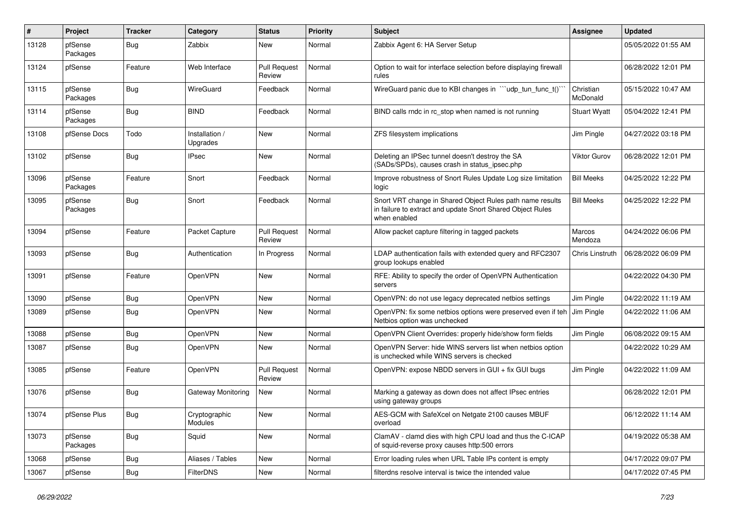| #     | Project             | <b>Tracker</b> | Category                   | <b>Status</b>                 | <b>Priority</b> | Subject                                                                                                                                 | <b>Assignee</b>       | <b>Updated</b>      |
|-------|---------------------|----------------|----------------------------|-------------------------------|-----------------|-----------------------------------------------------------------------------------------------------------------------------------------|-----------------------|---------------------|
| 13128 | pfSense<br>Packages | <b>Bug</b>     | Zabbix                     | New                           | Normal          | Zabbix Agent 6: HA Server Setup                                                                                                         |                       | 05/05/2022 01:55 AM |
| 13124 | pfSense             | Feature        | Web Interface              | <b>Pull Request</b><br>Review | Normal          | Option to wait for interface selection before displaying firewall<br>rules                                                              |                       | 06/28/2022 12:01 PM |
| 13115 | pfSense<br>Packages | <b>Bug</b>     | WireGuard                  | Feedback                      | Normal          | WireGuard panic due to KBI changes in ""udp_tun_func_t()"                                                                               | Christian<br>McDonald | 05/15/2022 10:47 AM |
| 13114 | pfSense<br>Packages | Bug            | <b>BIND</b>                | Feedback                      | Normal          | BIND calls rndc in rc stop when named is not running                                                                                    | <b>Stuart Wyatt</b>   | 05/04/2022 12:41 PM |
| 13108 | pfSense Docs        | Todo           | Installation /<br>Upgrades | New                           | Normal          | ZFS filesystem implications                                                                                                             | Jim Pingle            | 04/27/2022 03:18 PM |
| 13102 | pfSense             | Bug            | IPsec                      | New                           | Normal          | Deleting an IPSec tunnel doesn't destroy the SA<br>(SADs/SPDs), causes crash in status_ipsec.php                                        | Viktor Gurov          | 06/28/2022 12:01 PM |
| 13096 | pfSense<br>Packages | Feature        | Snort                      | Feedback                      | Normal          | Improve robustness of Snort Rules Update Log size limitation<br>logic                                                                   | <b>Bill Meeks</b>     | 04/25/2022 12:22 PM |
| 13095 | pfSense<br>Packages | Bug            | Snort                      | Feedback                      | Normal          | Snort VRT change in Shared Object Rules path name results<br>in failure to extract and update Snort Shared Object Rules<br>when enabled | <b>Bill Meeks</b>     | 04/25/2022 12:22 PM |
| 13094 | pfSense             | Feature        | Packet Capture             | <b>Pull Request</b><br>Review | Normal          | Allow packet capture filtering in tagged packets                                                                                        | Marcos<br>Mendoza     | 04/24/2022 06:06 PM |
| 13093 | pfSense             | Bug            | Authentication             | In Progress                   | Normal          | LDAP authentication fails with extended query and RFC2307<br>group lookups enabled                                                      | Chris Linstruth       | 06/28/2022 06:09 PM |
| 13091 | pfSense             | Feature        | OpenVPN                    | New                           | Normal          | RFE: Ability to specify the order of OpenVPN Authentication<br>servers                                                                  |                       | 04/22/2022 04:30 PM |
| 13090 | pfSense             | Bug            | OpenVPN                    | New                           | Normal          | OpenVPN: do not use legacy deprecated netbios settings                                                                                  | Jim Pingle            | 04/22/2022 11:19 AM |
| 13089 | pfSense             | Bug            | OpenVPN                    | New                           | Normal          | OpenVPN: fix some netbios options were preserved even if teh<br>Netbios option was unchecked                                            | Jim Pingle            | 04/22/2022 11:06 AM |
| 13088 | pfSense             | Bug            | OpenVPN                    | New                           | Normal          | OpenVPN Client Overrides: properly hide/show form fields                                                                                | Jim Pingle            | 06/08/2022 09:15 AM |
| 13087 | pfSense             | Bug            | OpenVPN                    | New                           | Normal          | OpenVPN Server: hide WINS servers list when netbios option<br>is unchecked while WINS servers is checked                                |                       | 04/22/2022 10:29 AM |
| 13085 | pfSense             | Feature        | OpenVPN                    | <b>Pull Request</b><br>Review | Normal          | OpenVPN: expose NBDD servers in GUI + fix GUI bugs                                                                                      | Jim Pingle            | 04/22/2022 11:09 AM |
| 13076 | pfSense             | Bug            | Gateway Monitoring         | New                           | Normal          | Marking a gateway as down does not affect IPsec entries<br>using gateway groups                                                         |                       | 06/28/2022 12:01 PM |
| 13074 | pfSense Plus        | <b>Bug</b>     | Cryptographic<br>Modules   | New                           | Normal          | AES-GCM with SafeXcel on Netgate 2100 causes MBUF<br>overload                                                                           |                       | 06/12/2022 11:14 AM |
| 13073 | pfSense<br>Packages | <b>Bug</b>     | Squid                      | New                           | Normal          | ClamAV - clamd dies with high CPU load and thus the C-ICAP<br>of squid-reverse proxy causes http:500 errors                             |                       | 04/19/2022 05:38 AM |
| 13068 | pfSense             | <b>Bug</b>     | Aliases / Tables           | New                           | Normal          | Error loading rules when URL Table IPs content is empty                                                                                 |                       | 04/17/2022 09:07 PM |
| 13067 | pfSense             | <b>Bug</b>     | <b>FilterDNS</b>           | New                           | Normal          | filterdns resolve interval is twice the intended value                                                                                  |                       | 04/17/2022 07:45 PM |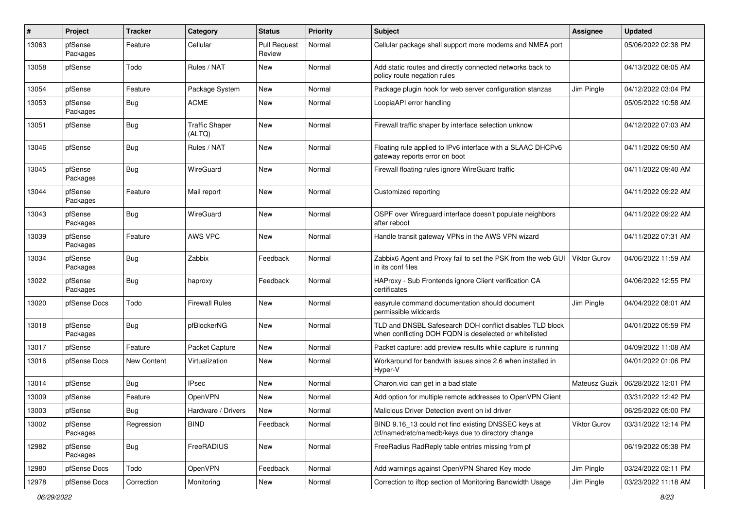| #     | Project             | <b>Tracker</b> | Category                        | <b>Status</b>                 | <b>Priority</b> | Subject                                                                                                            | Assignee            | <b>Updated</b>      |
|-------|---------------------|----------------|---------------------------------|-------------------------------|-----------------|--------------------------------------------------------------------------------------------------------------------|---------------------|---------------------|
| 13063 | pfSense<br>Packages | Feature        | Cellular                        | <b>Pull Request</b><br>Review | Normal          | Cellular package shall support more modems and NMEA port                                                           |                     | 05/06/2022 02:38 PM |
| 13058 | pfSense             | Todo           | Rules / NAT                     | New                           | Normal          | Add static routes and directly connected networks back to<br>policy route negation rules                           |                     | 04/13/2022 08:05 AM |
| 13054 | pfSense             | Feature        | Package System                  | New                           | Normal          | Package plugin hook for web server configuration stanzas                                                           | Jim Pingle          | 04/12/2022 03:04 PM |
| 13053 | pfSense<br>Packages | Bug            | <b>ACME</b>                     | New                           | Normal          | LoopiaAPI error handling                                                                                           |                     | 05/05/2022 10:58 AM |
| 13051 | pfSense             | <b>Bug</b>     | <b>Traffic Shaper</b><br>(ALTQ) | New                           | Normal          | Firewall traffic shaper by interface selection unknow                                                              |                     | 04/12/2022 07:03 AM |
| 13046 | pfSense             | Bug            | Rules / NAT                     | New                           | Normal          | Floating rule applied to IPv6 interface with a SLAAC DHCPv6<br>gateway reports error on boot                       |                     | 04/11/2022 09:50 AM |
| 13045 | pfSense<br>Packages | Bug            | WireGuard                       | New                           | Normal          | Firewall floating rules ignore WireGuard traffic                                                                   |                     | 04/11/2022 09:40 AM |
| 13044 | pfSense<br>Packages | Feature        | Mail report                     | <b>New</b>                    | Normal          | Customized reporting                                                                                               |                     | 04/11/2022 09:22 AM |
| 13043 | pfSense<br>Packages | <b>Bug</b>     | WireGuard                       | <b>New</b>                    | Normal          | OSPF over Wireguard interface doesn't populate neighbors<br>after reboot                                           |                     | 04/11/2022 09:22 AM |
| 13039 | pfSense<br>Packages | Feature        | AWS VPC                         | New                           | Normal          | Handle transit gateway VPNs in the AWS VPN wizard                                                                  |                     | 04/11/2022 07:31 AM |
| 13034 | pfSense<br>Packages | Bug            | Zabbix                          | Feedback                      | Normal          | Zabbix6 Agent and Proxy fail to set the PSK from the web GUI<br>in its conf files                                  | <b>Viktor Gurov</b> | 04/06/2022 11:59 AM |
| 13022 | pfSense<br>Packages | <b>Bug</b>     | haproxy                         | Feedback                      | Normal          | HAProxy - Sub Frontends ignore Client verification CA<br>certificates                                              |                     | 04/06/2022 12:55 PM |
| 13020 | pfSense Docs        | Todo           | Firewall Rules                  | New                           | Normal          | easyrule command documentation should document<br>permissible wildcards                                            | Jim Pingle          | 04/04/2022 08:01 AM |
| 13018 | pfSense<br>Packages | Bug            | pfBlockerNG                     | New                           | Normal          | TLD and DNSBL Safesearch DOH conflict disables TLD block<br>when conflicting DOH FQDN is deselected or whitelisted |                     | 04/01/2022 05:59 PM |
| 13017 | pfSense             | Feature        | Packet Capture                  | New                           | Normal          | Packet capture: add preview results while capture is running                                                       |                     | 04/09/2022 11:08 AM |
| 13016 | pfSense Docs        | New Content    | Virtualization                  | New                           | Normal          | Workaround for bandwith issues since 2.6 when installed in<br>Hyper-V                                              |                     | 04/01/2022 01:06 PM |
| 13014 | pfSense             | Bug            | <b>IPsec</b>                    | New                           | Normal          | Charon.vici can get in a bad state                                                                                 | Mateusz Guzik       | 06/28/2022 12:01 PM |
| 13009 | pfSense             | Feature        | OpenVPN                         | <b>New</b>                    | Normal          | Add option for multiple remote addresses to OpenVPN Client                                                         |                     | 03/31/2022 12:42 PM |
| 13003 | pfSense             | Bug            | Hardware / Drivers              | New                           | Normal          | Malicious Driver Detection event on ixl driver                                                                     |                     | 06/25/2022 05:00 PM |
| 13002 | pfSense<br>Packages | Regression     | <b>BIND</b>                     | Feedback                      | Normal          | BIND 9.16_13 could not find existing DNSSEC keys at<br>/cf/named/etc/namedb/keys due to directory change           | <b>Viktor Gurov</b> | 03/31/2022 12:14 PM |
| 12982 | pfSense<br>Packages | Bug            | <b>FreeRADIUS</b>               | New                           | Normal          | FreeRadius RadReply table entries missing from pf                                                                  |                     | 06/19/2022 05:38 PM |
| 12980 | pfSense Docs        | Todo           | OpenVPN                         | Feedback                      | Normal          | Add warnings against OpenVPN Shared Key mode                                                                       | Jim Pingle          | 03/24/2022 02:11 PM |
| 12978 | pfSense Docs        | Correction     | Monitoring                      | New                           | Normal          | Correction to iftop section of Monitoring Bandwidth Usage                                                          | Jim Pingle          | 03/23/2022 11:18 AM |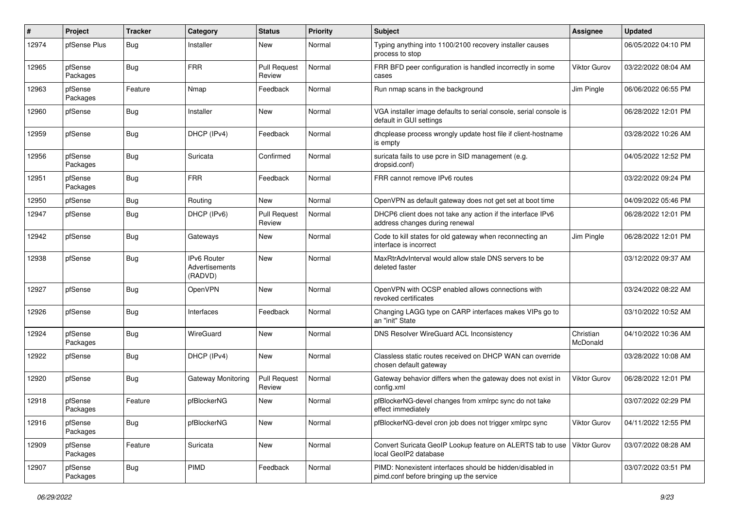| #     | Project             | <b>Tracker</b> | Category                                 | <b>Status</b>                 | <b>Priority</b> | <b>Subject</b>                                                                                        | <b>Assignee</b>       | <b>Updated</b>      |
|-------|---------------------|----------------|------------------------------------------|-------------------------------|-----------------|-------------------------------------------------------------------------------------------------------|-----------------------|---------------------|
| 12974 | pfSense Plus        | <b>Bug</b>     | Installer                                | New                           | Normal          | Typing anything into 1100/2100 recovery installer causes<br>process to stop                           |                       | 06/05/2022 04:10 PM |
| 12965 | pfSense<br>Packages | Bug            | <b>FRR</b>                               | <b>Pull Request</b><br>Review | Normal          | FRR BFD peer configuration is handled incorrectly in some<br>cases                                    | <b>Viktor Gurov</b>   | 03/22/2022 08:04 AM |
| 12963 | pfSense<br>Packages | Feature        | Nmap                                     | Feedback                      | Normal          | Run nmap scans in the background                                                                      | Jim Pingle            | 06/06/2022 06:55 PM |
| 12960 | pfSense             | <b>Bug</b>     | Installer                                | New                           | Normal          | VGA installer image defaults to serial console, serial console is<br>default in GUI settings          |                       | 06/28/2022 12:01 PM |
| 12959 | pfSense             | Bug            | DHCP (IPv4)                              | Feedback                      | Normal          | dhcplease process wrongly update host file if client-hostname<br>is empty                             |                       | 03/28/2022 10:26 AM |
| 12956 | pfSense<br>Packages | Bug            | Suricata                                 | Confirmed                     | Normal          | suricata fails to use pcre in SID management (e.g.<br>dropsid.conf)                                   |                       | 04/05/2022 12:52 PM |
| 12951 | pfSense<br>Packages | <b>Bug</b>     | <b>FRR</b>                               | Feedback                      | Normal          | FRR cannot remove IPv6 routes                                                                         |                       | 03/22/2022 09:24 PM |
| 12950 | pfSense             | <b>Bug</b>     | Routing                                  | New                           | Normal          | OpenVPN as default gateway does not get set at boot time                                              |                       | 04/09/2022 05:46 PM |
| 12947 | pfSense             | <b>Bug</b>     | DHCP (IPv6)                              | <b>Pull Request</b><br>Review | Normal          | DHCP6 client does not take any action if the interface IPv6<br>address changes during renewal         |                       | 06/28/2022 12:01 PM |
| 12942 | pfSense             | <b>Bug</b>     | Gateways                                 | New                           | Normal          | Code to kill states for old gateway when reconnecting an<br>interface is incorrect                    | Jim Pingle            | 06/28/2022 12:01 PM |
| 12938 | pfSense             | Bug            | IPv6 Router<br>Advertisements<br>(RADVD) | New                           | Normal          | MaxRtrAdvInterval would allow stale DNS servers to be<br>deleted faster                               |                       | 03/12/2022 09:37 AM |
| 12927 | pfSense             | Bug            | OpenVPN                                  | <b>New</b>                    | Normal          | OpenVPN with OCSP enabled allows connections with<br>revoked certificates                             |                       | 03/24/2022 08:22 AM |
| 12926 | pfSense             | Bug            | Interfaces                               | Feedback                      | Normal          | Changing LAGG type on CARP interfaces makes VIPs go to<br>an "init" State                             |                       | 03/10/2022 10:52 AM |
| 12924 | pfSense<br>Packages | Bug            | WireGuard                                | <b>New</b>                    | Normal          | DNS Resolver WireGuard ACL Inconsistency                                                              | Christian<br>McDonald | 04/10/2022 10:36 AM |
| 12922 | pfSense             | Bug            | DHCP (IPv4)                              | New                           | Normal          | Classless static routes received on DHCP WAN can override<br>chosen default gateway                   |                       | 03/28/2022 10:08 AM |
| 12920 | pfSense             | <b>Bug</b>     | Gateway Monitoring                       | <b>Pull Request</b><br>Review | Normal          | Gateway behavior differs when the gateway does not exist in<br>config.xml                             | Viktor Gurov          | 06/28/2022 12:01 PM |
| 12918 | pfSense<br>Packages | Feature        | pfBlockerNG                              | New                           | Normal          | pfBlockerNG-devel changes from xmlrpc sync do not take<br>effect immediately                          |                       | 03/07/2022 02:29 PM |
| 12916 | pfSense<br>Packages | <b>Bug</b>     | pfBlockerNG                              | New                           | Normal          | pfBlockerNG-devel cron job does not trigger xmlrpc sync                                               | <b>Viktor Gurov</b>   | 04/11/2022 12:55 PM |
| 12909 | pfSense<br>Packages | Feature        | Suricata                                 | New                           | Normal          | Convert Suricata GeoIP Lookup feature on ALERTS tab to use<br>local GeoIP2 database                   | Viktor Gurov          | 03/07/2022 08:28 AM |
| 12907 | pfSense<br>Packages | <b>Bug</b>     | PIMD                                     | Feedback                      | Normal          | PIMD: Nonexistent interfaces should be hidden/disabled in<br>pimd.conf before bringing up the service |                       | 03/07/2022 03:51 PM |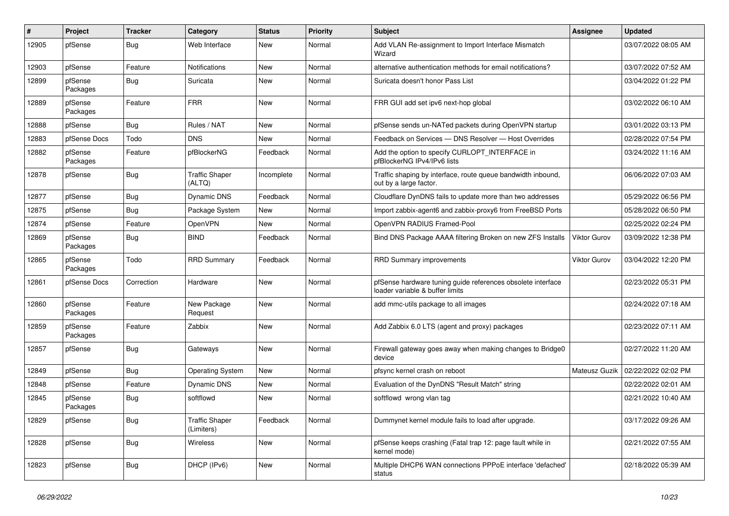| ∦     | Project             | <b>Tracker</b> | Category                            | <b>Status</b> | <b>Priority</b> | <b>Subject</b>                                                                                 | Assignee            | <b>Updated</b>      |
|-------|---------------------|----------------|-------------------------------------|---------------|-----------------|------------------------------------------------------------------------------------------------|---------------------|---------------------|
| 12905 | pfSense             | <b>Bug</b>     | Web Interface                       | New           | Normal          | Add VLAN Re-assignment to Import Interface Mismatch<br>Wizard                                  |                     | 03/07/2022 08:05 AM |
| 12903 | pfSense             | Feature        | Notifications                       | New           | Normal          | alternative authentication methods for email notifications?                                    |                     | 03/07/2022 07:52 AM |
| 12899 | pfSense<br>Packages | <b>Bug</b>     | Suricata                            | New           | Normal          | Suricata doesn't honor Pass List                                                               |                     | 03/04/2022 01:22 PM |
| 12889 | pfSense<br>Packages | Feature        | <b>FRR</b>                          | New           | Normal          | FRR GUI add set ipv6 next-hop global                                                           |                     | 03/02/2022 06:10 AM |
| 12888 | pfSense             | <b>Bug</b>     | Rules / NAT                         | New           | Normal          | pfSense sends un-NATed packets during OpenVPN startup                                          |                     | 03/01/2022 03:13 PM |
| 12883 | pfSense Docs        | Todo           | <b>DNS</b>                          | New           | Normal          | Feedback on Services - DNS Resolver - Host Overrides                                           |                     | 02/28/2022 07:54 PM |
| 12882 | pfSense<br>Packages | Feature        | pfBlockerNG                         | Feedback      | Normal          | Add the option to specify CURLOPT_INTERFACE in<br>pfBlockerNG IPv4/IPv6 lists                  |                     | 03/24/2022 11:16 AM |
| 12878 | pfSense             | <b>Bug</b>     | <b>Traffic Shaper</b><br>(ALTQ)     | Incomplete    | Normal          | Traffic shaping by interface, route queue bandwidth inbound,<br>out by a large factor.         |                     | 06/06/2022 07:03 AM |
| 12877 | pfSense             | <b>Bug</b>     | Dynamic DNS                         | Feedback      | Normal          | Cloudflare DynDNS fails to update more than two addresses                                      |                     | 05/29/2022 06:56 PM |
| 12875 | pfSense             | <b>Bug</b>     | Package System                      | New           | Normal          | Import zabbix-agent6 and zabbix-proxy6 from FreeBSD Ports                                      |                     | 05/28/2022 06:50 PM |
| 12874 | pfSense             | Feature        | OpenVPN                             | New           | Normal          | OpenVPN RADIUS Framed-Pool                                                                     |                     | 02/25/2022 02:24 PM |
| 12869 | pfSense<br>Packages | <b>Bug</b>     | <b>BIND</b>                         | Feedback      | Normal          | Bind DNS Package AAAA filtering Broken on new ZFS Installs                                     | <b>Viktor Gurov</b> | 03/09/2022 12:38 PM |
| 12865 | pfSense<br>Packages | Todo           | <b>RRD Summary</b>                  | Feedback      | Normal          | <b>RRD Summary improvements</b>                                                                | <b>Viktor Gurov</b> | 03/04/2022 12:20 PM |
| 12861 | pfSense Docs        | Correction     | Hardware                            | New           | Normal          | pfSense hardware tuning guide references obsolete interface<br>loader variable & buffer limits |                     | 02/23/2022 05:31 PM |
| 12860 | pfSense<br>Packages | Feature        | New Package<br>Request              | New           | Normal          | add mmc-utils package to all images                                                            |                     | 02/24/2022 07:18 AM |
| 12859 | pfSense<br>Packages | Feature        | Zabbix                              | New           | Normal          | Add Zabbix 6.0 LTS (agent and proxy) packages                                                  |                     | 02/23/2022 07:11 AM |
| 12857 | pfSense             | <b>Bug</b>     | Gateways                            | New           | Normal          | Firewall gateway goes away when making changes to Bridge0<br>device                            |                     | 02/27/2022 11:20 AM |
| 12849 | pfSense             | <b>Bug</b>     | <b>Operating System</b>             | New           | Normal          | pfsync kernel crash on reboot                                                                  | Mateusz Guzik       | 02/22/2022 02:02 PM |
| 12848 | pfSense             | Feature        | Dynamic DNS                         | New           | Normal          | Evaluation of the DynDNS "Result Match" string                                                 |                     | 02/22/2022 02:01 AM |
| 12845 | pfSense<br>Packages | <b>Bug</b>     | softflowd                           | New           | Normal          | softflowd wrong vlan tag                                                                       |                     | 02/21/2022 10:40 AM |
| 12829 | pfSense             | Bug            | <b>Traffic Shaper</b><br>(Limiters) | Feedback      | Normal          | Dummynet kernel module fails to load after upgrade.                                            |                     | 03/17/2022 09:26 AM |
| 12828 | pfSense             | <b>Bug</b>     | Wireless                            | New           | Normal          | pfSense keeps crashing (Fatal trap 12: page fault while in<br>kernel mode)                     |                     | 02/21/2022 07:55 AM |
| 12823 | pfSense             | <b>Bug</b>     | DHCP (IPv6)                         | New           | Normal          | Multiple DHCP6 WAN connections PPPoE interface 'defached'<br>status                            |                     | 02/18/2022 05:39 AM |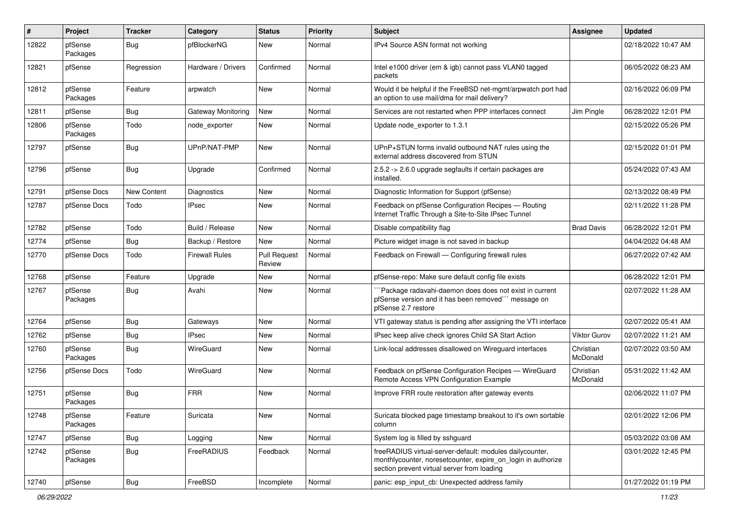| $\vert$ # | Project             | <b>Tracker</b> | Category              | <b>Status</b>                 | <b>Priority</b> | Subject                                                                                                                                                                 | <b>Assignee</b>       | <b>Updated</b>      |
|-----------|---------------------|----------------|-----------------------|-------------------------------|-----------------|-------------------------------------------------------------------------------------------------------------------------------------------------------------------------|-----------------------|---------------------|
| 12822     | pfSense<br>Packages | Bug            | pfBlockerNG           | New                           | Normal          | IPv4 Source ASN format not working                                                                                                                                      |                       | 02/18/2022 10:47 AM |
| 12821     | pfSense             | Regression     | Hardware / Drivers    | Confirmed                     | Normal          | Intel e1000 driver (em & igb) cannot pass VLAN0 tagged<br>packets                                                                                                       |                       | 06/05/2022 08:23 AM |
| 12812     | pfSense<br>Packages | Feature        | arpwatch              | New                           | Normal          | Would it be helpful if the FreeBSD net-mgmt/arpwatch port had<br>an option to use mail/dma for mail delivery?                                                           |                       | 02/16/2022 06:09 PM |
| 12811     | pfSense             | Bug            | Gateway Monitoring    | New                           | Normal          | Services are not restarted when PPP interfaces connect                                                                                                                  | Jim Pingle            | 06/28/2022 12:01 PM |
| 12806     | pfSense<br>Packages | Todo           | node_exporter         | New                           | Normal          | Update node exporter to 1.3.1                                                                                                                                           |                       | 02/15/2022 05:26 PM |
| 12797     | pfSense             | Bug            | UPnP/NAT-PMP          | New                           | Normal          | UPnP+STUN forms invalid outbound NAT rules using the<br>external address discovered from STUN                                                                           |                       | 02/15/2022 01:01 PM |
| 12796     | pfSense             | Bug            | Upgrade               | Confirmed                     | Normal          | 2.5.2 -> 2.6.0 upgrade segfaults if certain packages are<br>installed.                                                                                                  |                       | 05/24/2022 07:43 AM |
| 12791     | pfSense Docs        | New Content    | <b>Diagnostics</b>    | New                           | Normal          | Diagnostic Information for Support (pfSense)                                                                                                                            |                       | 02/13/2022 08:49 PM |
| 12787     | pfSense Docs        | Todo           | <b>IPsec</b>          | New                           | Normal          | Feedback on pfSense Configuration Recipes - Routing<br>Internet Traffic Through a Site-to-Site IPsec Tunnel                                                             |                       | 02/11/2022 11:28 PM |
| 12782     | pfSense             | Todo           | Build / Release       | New                           | Normal          | Disable compatibility flag                                                                                                                                              | <b>Brad Davis</b>     | 06/28/2022 12:01 PM |
| 12774     | pfSense             | Bug            | Backup / Restore      | New                           | Normal          | Picture widget image is not saved in backup                                                                                                                             |                       | 04/04/2022 04:48 AM |
| 12770     | pfSense Docs        | Todo           | <b>Firewall Rules</b> | <b>Pull Request</b><br>Review | Normal          | Feedback on Firewall - Configuring firewall rules                                                                                                                       |                       | 06/27/2022 07:42 AM |
| 12768     | pfSense             | Feature        | Upgrade               | New                           | Normal          | pfSense-repo: Make sure default config file exists                                                                                                                      |                       | 06/28/2022 12:01 PM |
| 12767     | pfSense<br>Packages | Bug            | Avahi                 | New                           | Normal          | Package radavahi-daemon does does not exist in current<br>pfSense version and it has been removed"" message on<br>pfSense 2.7 restore                                   |                       | 02/07/2022 11:28 AM |
| 12764     | pfSense             | Bug            | Gateways              | New                           | Normal          | VTI gateway status is pending after assigning the VTI interface                                                                                                         |                       | 02/07/2022 05:41 AM |
| 12762     | pfSense             | Bug            | <b>IPsec</b>          | New                           | Normal          | IPsec keep alive check ignores Child SA Start Action                                                                                                                    | <b>Viktor Gurov</b>   | 02/07/2022 11:21 AM |
| 12760     | pfSense<br>Packages | <b>Bug</b>     | WireGuard             | New                           | Normal          | Link-local addresses disallowed on Wireguard interfaces                                                                                                                 | Christian<br>McDonald | 02/07/2022 03:50 AM |
| 12756     | pfSense Docs        | Todo           | WireGuard             | New                           | Normal          | Feedback on pfSense Configuration Recipes - WireGuard<br>Remote Access VPN Configuration Example                                                                        | Christian<br>McDonald | 05/31/2022 11:42 AM |
| 12751     | pfSense<br>Packages | <b>Bug</b>     | <b>FRR</b>            | New                           | Normal          | Improve FRR route restoration after gateway events                                                                                                                      |                       | 02/06/2022 11:07 PM |
| 12748     | pfSense<br>Packages | Feature        | Suricata              | New                           | Normal          | Suricata blocked page timestamp breakout to it's own sortable<br>column                                                                                                 |                       | 02/01/2022 12:06 PM |
| 12747     | pfSense             | <b>Bug</b>     | Logging               | New                           | Normal          | System log is filled by sshguard                                                                                                                                        |                       | 05/03/2022 03:08 AM |
| 12742     | pfSense<br>Packages | <b>Bug</b>     | FreeRADIUS            | Feedback                      | Normal          | freeRADIUS virtual-server-default: modules dailycounter,<br>monthlycounter, noresetcounter, expire_on_login in authorize<br>section prevent virtual server from loading |                       | 03/01/2022 12:45 PM |
| 12740     | pfSense             | Bug            | FreeBSD               | Incomplete                    | Normal          | panic: esp_input_cb: Unexpected address family                                                                                                                          |                       | 01/27/2022 01:19 PM |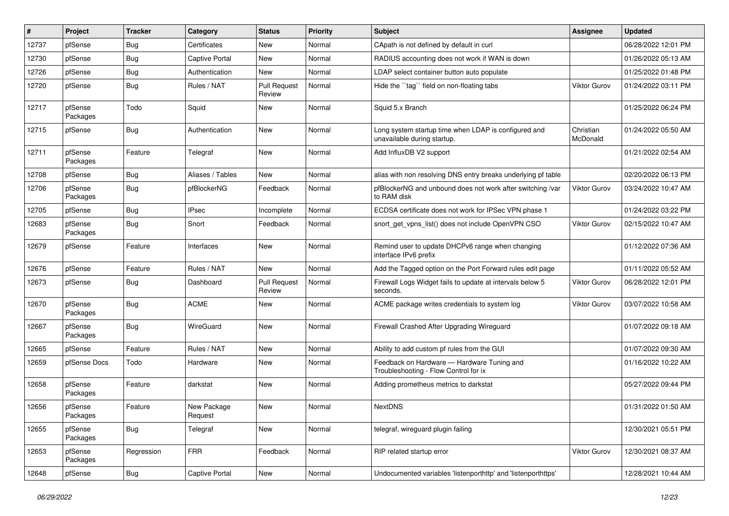| #     | Project             | <b>Tracker</b> | Category               | <b>Status</b>                 | <b>Priority</b> | Subject                                                                             | <b>Assignee</b>       | <b>Updated</b>      |
|-------|---------------------|----------------|------------------------|-------------------------------|-----------------|-------------------------------------------------------------------------------------|-----------------------|---------------------|
| 12737 | pfSense             | Bug            | Certificates           | New                           | Normal          | CApath is not defined by default in curl                                            |                       | 06/28/2022 12:01 PM |
| 12730 | pfSense             | <b>Bug</b>     | <b>Captive Portal</b>  | <b>New</b>                    | Normal          | RADIUS accounting does not work if WAN is down                                      |                       | 01/26/2022 05:13 AM |
| 12726 | pfSense             | <b>Bug</b>     | Authentication         | New                           | Normal          | LDAP select container button auto populate                                          |                       | 01/25/2022 01:48 PM |
| 12720 | pfSense             | <b>Bug</b>     | Rules / NAT            | <b>Pull Request</b><br>Review | Normal          | Hide the "tag" field on non-floating tabs                                           | <b>Viktor Gurov</b>   | 01/24/2022 03:11 PM |
| 12717 | pfSense<br>Packages | Todo           | Squid                  | New                           | Normal          | Squid 5.x Branch                                                                    |                       | 01/25/2022 06:24 PM |
| 12715 | pfSense             | <b>Bug</b>     | Authentication         | New                           | Normal          | Long system startup time when LDAP is configured and<br>unavailable during startup. | Christian<br>McDonald | 01/24/2022 05:50 AM |
| 12711 | pfSense<br>Packages | Feature        | Telegraf               | New                           | Normal          | Add InfluxDB V2 support                                                             |                       | 01/21/2022 02:54 AM |
| 12708 | pfSense             | <b>Bug</b>     | Aliases / Tables       | <b>New</b>                    | Normal          | alias with non resolving DNS entry breaks underlying pf table                       |                       | 02/20/2022 06:13 PM |
| 12706 | pfSense<br>Packages | <b>Bug</b>     | pfBlockerNG            | Feedback                      | Normal          | pfBlockerNG and unbound does not work after switching /var<br>to RAM disk           | <b>Viktor Gurov</b>   | 03/24/2022 10:47 AM |
| 12705 | pfSense             | <b>Bug</b>     | <b>IPsec</b>           | Incomplete                    | Normal          | ECDSA certificate does not work for IPSec VPN phase 1                               |                       | 01/24/2022 03:22 PM |
| 12683 | pfSense<br>Packages | <b>Bug</b>     | Snort                  | Feedback                      | Normal          | snort get vpns list() does not include OpenVPN CSO                                  | <b>Viktor Gurov</b>   | 02/15/2022 10:47 AM |
| 12679 | pfSense             | Feature        | Interfaces             | New                           | Normal          | Remind user to update DHCPv6 range when changing<br>interface IPv6 prefix           |                       | 01/12/2022 07:36 AM |
| 12676 | pfSense             | Feature        | Rules / NAT            | <b>New</b>                    | Normal          | Add the Tagged option on the Port Forward rules edit page                           |                       | 01/11/2022 05:52 AM |
| 12673 | pfSense             | <b>Bug</b>     | Dashboard              | <b>Pull Request</b><br>Review | Normal          | Firewall Logs Widget fails to update at intervals below 5<br>seconds.               | Viktor Gurov          | 06/28/2022 12:01 PM |
| 12670 | pfSense<br>Packages | <b>Bug</b>     | <b>ACME</b>            | New                           | Normal          | ACME package writes credentials to system log                                       | <b>Viktor Gurov</b>   | 03/07/2022 10:58 AM |
| 12667 | pfSense<br>Packages | Bug            | WireGuard              | New                           | Normal          | Firewall Crashed After Upgrading Wireguard                                          |                       | 01/07/2022 09:18 AM |
| 12665 | pfSense             | Feature        | Rules / NAT            | <b>New</b>                    | Normal          | Ability to add custom pf rules from the GUI                                         |                       | 01/07/2022 09:30 AM |
| 12659 | pfSense Docs        | Todo           | Hardware               | New                           | Normal          | Feedback on Hardware - Hardware Tuning and<br>Troubleshooting - Flow Control for ix |                       | 01/16/2022 10:22 AM |
| 12658 | pfSense<br>Packages | Feature        | darkstat               | New                           | Normal          | Adding prometheus metrics to darkstat                                               |                       | 05/27/2022 09:44 PM |
| 12656 | pfSense<br>Packages | Feature        | New Package<br>Request | New                           | Normal          | <b>NextDNS</b>                                                                      |                       | 01/31/2022 01:50 AM |
| 12655 | pfSense<br>Packages | <b>Bug</b>     | Telegraf               | <b>New</b>                    | Normal          | telegraf, wireguard plugin failing                                                  |                       | 12/30/2021 05:51 PM |
| 12653 | pfSense<br>Packages | Regression     | FRR                    | Feedback                      | Normal          | RIP related startup error                                                           | <b>Viktor Gurov</b>   | 12/30/2021 08:37 AM |
| 12648 | pfSense             | <b>Bug</b>     | Captive Portal         | New                           | Normal          | Undocumented variables 'listenporthttp' and 'listenporthttps'                       |                       | 12/28/2021 10:44 AM |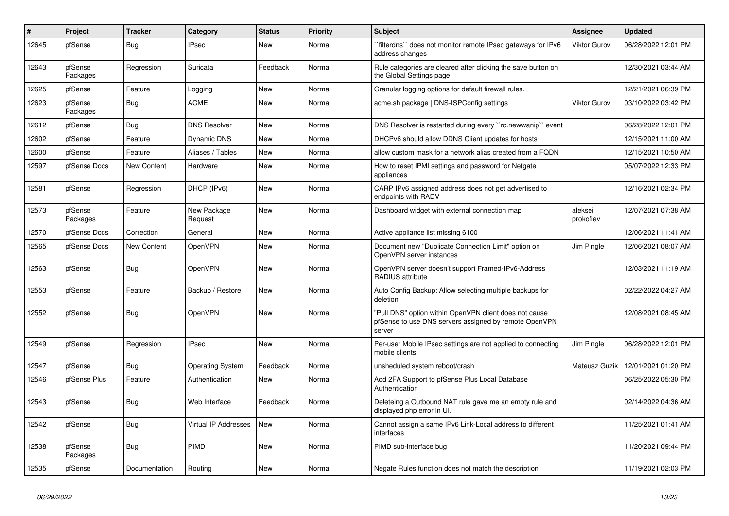| #     | Project             | <b>Tracker</b>     | Category                | <b>Status</b> | Priority | <b>Subject</b>                                                                                                            | <b>Assignee</b>      | <b>Updated</b>      |
|-------|---------------------|--------------------|-------------------------|---------------|----------|---------------------------------------------------------------------------------------------------------------------------|----------------------|---------------------|
| 12645 | pfSense             | Bug                | <b>IPsec</b>            | New           | Normal   | filterdns" does not monitor remote IPsec gateways for IPv6<br>address changes                                             | <b>Viktor Gurov</b>  | 06/28/2022 12:01 PM |
| 12643 | pfSense<br>Packages | Regression         | Suricata                | Feedback      | Normal   | Rule categories are cleared after clicking the save button on<br>the Global Settings page                                 |                      | 12/30/2021 03:44 AM |
| 12625 | pfSense             | Feature            | Logging                 | <b>New</b>    | Normal   | Granular logging options for default firewall rules.                                                                      |                      | 12/21/2021 06:39 PM |
| 12623 | pfSense<br>Packages | Bug                | <b>ACME</b>             | New           | Normal   | acme.sh package   DNS-ISPConfig settings                                                                                  | Viktor Gurov         | 03/10/2022 03:42 PM |
| 12612 | pfSense             | <b>Bug</b>         | <b>DNS Resolver</b>     | New           | Normal   | DNS Resolver is restarted during every "rc.newwanip" event                                                                |                      | 06/28/2022 12:01 PM |
| 12602 | pfSense             | Feature            | Dynamic DNS             | New           | Normal   | DHCPv6 should allow DDNS Client updates for hosts                                                                         |                      | 12/15/2021 11:00 AM |
| 12600 | pfSense             | Feature            | Aliases / Tables        | <b>New</b>    | Normal   | allow custom mask for a network alias created from a FQDN                                                                 |                      | 12/15/2021 10:50 AM |
| 12597 | pfSense Docs        | <b>New Content</b> | Hardware                | New           | Normal   | How to reset IPMI settings and password for Netgate<br>appliances                                                         |                      | 05/07/2022 12:33 PM |
| 12581 | pfSense             | Regression         | DHCP (IPv6)             | New           | Normal   | CARP IPv6 assigned address does not get advertised to<br>endpoints with RADV                                              |                      | 12/16/2021 02:34 PM |
| 12573 | pfSense<br>Packages | Feature            | New Package<br>Request  | <b>New</b>    | Normal   | Dashboard widget with external connection map                                                                             | aleksei<br>prokofiev | 12/07/2021 07:38 AM |
| 12570 | pfSense Docs        | Correction         | General                 | <b>New</b>    | Normal   | Active appliance list missing 6100                                                                                        |                      | 12/06/2021 11:41 AM |
| 12565 | pfSense Docs        | New Content        | OpenVPN                 | New           | Normal   | Document new "Duplicate Connection Limit" option on<br>OpenVPN server instances                                           | Jim Pingle           | 12/06/2021 08:07 AM |
| 12563 | pfSense             | <b>Bug</b>         | OpenVPN                 | New           | Normal   | OpenVPN server doesn't support Framed-IPv6-Address<br>RADIUS attribute                                                    |                      | 12/03/2021 11:19 AM |
| 12553 | pfSense             | Feature            | Backup / Restore        | New           | Normal   | Auto Config Backup: Allow selecting multiple backups for<br>deletion                                                      |                      | 02/22/2022 04:27 AM |
| 12552 | pfSense             | <b>Bug</b>         | OpenVPN                 | <b>New</b>    | Normal   | "Pull DNS" option within OpenVPN client does not cause<br>pfSense to use DNS servers assigned by remote OpenVPN<br>server |                      | 12/08/2021 08:45 AM |
| 12549 | pfSense             | Regression         | <b>IPsec</b>            | New           | Normal   | Per-user Mobile IPsec settings are not applied to connecting<br>mobile clients                                            | Jim Pingle           | 06/28/2022 12:01 PM |
| 12547 | pfSense             | <b>Bug</b>         | <b>Operating System</b> | Feedback      | Normal   | unsheduled system reboot/crash                                                                                            | Mateusz Guzik        | 12/01/2021 01:20 PM |
| 12546 | pfSense Plus        | Feature            | Authentication          | New           | Normal   | Add 2FA Support to pfSense Plus Local Database<br>Authentication                                                          |                      | 06/25/2022 05:30 PM |
| 12543 | pfSense             | <b>Bug</b>         | Web Interface           | Feedback      | Normal   | Deleteing a Outbound NAT rule gave me an empty rule and<br>displayed php error in UI.                                     |                      | 02/14/2022 04:36 AM |
| 12542 | pfSense             | <b>Bug</b>         | Virtual IP Addresses    | New           | Normal   | Cannot assign a same IPv6 Link-Local address to different<br>interfaces                                                   |                      | 11/25/2021 01:41 AM |
| 12538 | pfSense<br>Packages | Bug                | PIMD                    | New           | Normal   | PIMD sub-interface bug                                                                                                    |                      | 11/20/2021 09:44 PM |
| 12535 | pfSense             | Documentation      | Routing                 | <b>New</b>    | Normal   | Negate Rules function does not match the description                                                                      |                      | 11/19/2021 02:03 PM |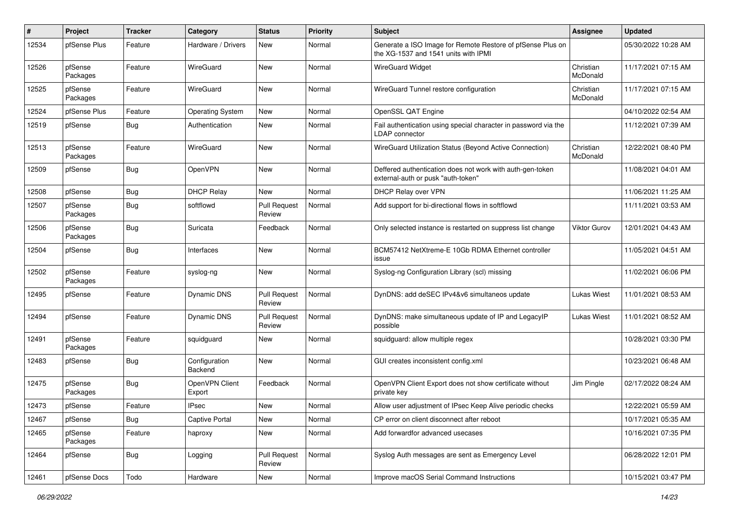| #     | Project             | <b>Tracker</b> | Category                 | <b>Status</b>                 | <b>Priority</b> | Subject                                                                                            | <b>Assignee</b>       | <b>Updated</b>      |
|-------|---------------------|----------------|--------------------------|-------------------------------|-----------------|----------------------------------------------------------------------------------------------------|-----------------------|---------------------|
| 12534 | pfSense Plus        | Feature        | Hardware / Drivers       | New                           | Normal          | Generate a ISO Image for Remote Restore of pfSense Plus on<br>the XG-1537 and 1541 units with IPMI |                       | 05/30/2022 10:28 AM |
| 12526 | pfSense<br>Packages | Feature        | WireGuard                | New                           | Normal          | <b>WireGuard Widget</b>                                                                            | Christian<br>McDonald | 11/17/2021 07:15 AM |
| 12525 | pfSense<br>Packages | Feature        | WireGuard                | <b>New</b>                    | Normal          | WireGuard Tunnel restore configuration                                                             | Christian<br>McDonald | 11/17/2021 07:15 AM |
| 12524 | pfSense Plus        | Feature        | <b>Operating System</b>  | <b>New</b>                    | Normal          | OpenSSL QAT Engine                                                                                 |                       | 04/10/2022 02:54 AM |
| 12519 | pfSense             | Bug            | Authentication           | New                           | Normal          | Fail authentication using special character in password via the<br>LDAP connector                  |                       | 11/12/2021 07:39 AM |
| 12513 | pfSense<br>Packages | Feature        | WireGuard                | New                           | Normal          | WireGuard Utilization Status (Beyond Active Connection)                                            | Christian<br>McDonald | 12/22/2021 08:40 PM |
| 12509 | pfSense             | Bug            | OpenVPN                  | New                           | Normal          | Deffered authentication does not work with auth-gen-token<br>external-auth or pusk "auth-token"    |                       | 11/08/2021 04:01 AM |
| 12508 | pfSense             | Bug            | <b>DHCP Relay</b>        | New                           | Normal          | DHCP Relay over VPN                                                                                |                       | 11/06/2021 11:25 AM |
| 12507 | pfSense<br>Packages | Bug            | softflowd                | <b>Pull Request</b><br>Review | Normal          | Add support for bi-directional flows in softflowd                                                  |                       | 11/11/2021 03:53 AM |
| 12506 | pfSense<br>Packages | Bug            | Suricata                 | Feedback                      | Normal          | Only selected instance is restarted on suppress list change                                        | Viktor Gurov          | 12/01/2021 04:43 AM |
| 12504 | pfSense             | <b>Bug</b>     | Interfaces               | New                           | Normal          | BCM57412 NetXtreme-E 10Gb RDMA Ethernet controller<br>issue                                        |                       | 11/05/2021 04:51 AM |
| 12502 | pfSense<br>Packages | Feature        | syslog-ng                | New                           | Normal          | Syslog-ng Configuration Library (scl) missing                                                      |                       | 11/02/2021 06:06 PM |
| 12495 | pfSense             | Feature        | Dynamic DNS              | <b>Pull Request</b><br>Review | Normal          | DynDNS: add deSEC IPv4&v6 simultaneos update                                                       | <b>Lukas Wiest</b>    | 11/01/2021 08:53 AM |
| 12494 | pfSense             | Feature        | Dynamic DNS              | <b>Pull Request</b><br>Review | Normal          | DynDNS: make simultaneous update of IP and LegacyIP<br>possible                                    | Lukas Wiest           | 11/01/2021 08:52 AM |
| 12491 | pfSense<br>Packages | Feature        | squidguard               | New                           | Normal          | squidguard: allow multiple regex                                                                   |                       | 10/28/2021 03:30 PM |
| 12483 | pfSense             | Bug            | Configuration<br>Backend | New                           | Normal          | GUI creates inconsistent config.xml                                                                |                       | 10/23/2021 06:48 AM |
| 12475 | pfSense<br>Packages | Bug            | OpenVPN Client<br>Export | Feedback                      | Normal          | OpenVPN Client Export does not show certificate without<br>private key                             | Jim Pingle            | 02/17/2022 08:24 AM |
| 12473 | pfSense             | Feature        | <b>IPsec</b>             | New                           | Normal          | Allow user adjustment of IPsec Keep Alive periodic checks                                          |                       | 12/22/2021 05:59 AM |
| 12467 | pfSense             | <b>Bug</b>     | Captive Portal           | New                           | Normal          | CP error on client disconnect after reboot                                                         |                       | 10/17/2021 05:35 AM |
| 12465 | pfSense<br>Packages | Feature        | haproxy                  | New                           | Normal          | Add forwardfor advanced usecases                                                                   |                       | 10/16/2021 07:35 PM |
| 12464 | pfSense             | <b>Bug</b>     | Logging                  | <b>Pull Request</b><br>Review | Normal          | Syslog Auth messages are sent as Emergency Level                                                   |                       | 06/28/2022 12:01 PM |
| 12461 | pfSense Docs        | Todo           | Hardware                 | New                           | Normal          | Improve macOS Serial Command Instructions                                                          |                       | 10/15/2021 03:47 PM |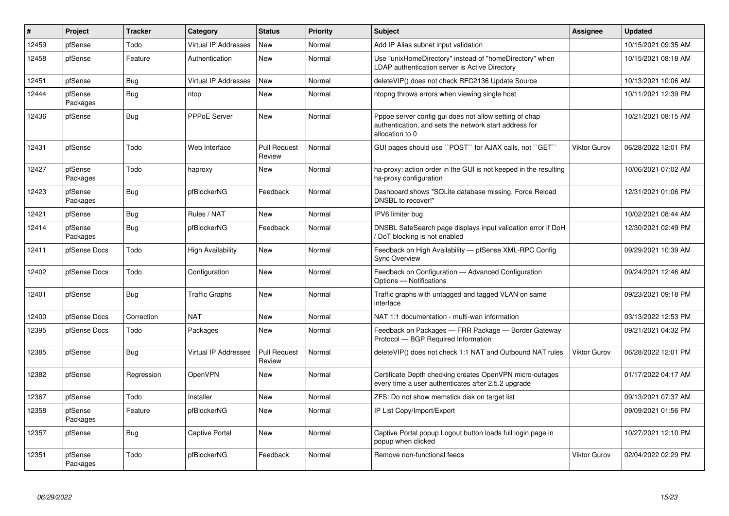| $\vert$ # | Project             | <b>Tracker</b> | Category                    | <b>Status</b>                 | <b>Priority</b> | <b>Subject</b>                                                                                                                      | Assignee            | <b>Updated</b>      |
|-----------|---------------------|----------------|-----------------------------|-------------------------------|-----------------|-------------------------------------------------------------------------------------------------------------------------------------|---------------------|---------------------|
| 12459     | pfSense             | Todo           | <b>Virtual IP Addresses</b> | New                           | Normal          | Add IP Alias subnet input validation                                                                                                |                     | 10/15/2021 09:35 AM |
| 12458     | pfSense             | Feature        | Authentication              | <b>New</b>                    | Normal          | Use "unixHomeDirectory" instead of "homeDirectory" when<br>LDAP authentication server is Active Directory                           |                     | 10/15/2021 08:18 AM |
| 12451     | pfSense             | Bug            | <b>Virtual IP Addresses</b> | <b>New</b>                    | Normal          | deleteVIP() does not check RFC2136 Update Source                                                                                    |                     | 10/13/2021 10:06 AM |
| 12444     | pfSense<br>Packages | <b>Bug</b>     | ntop                        | <b>New</b>                    | Normal          | ntopng throws errors when viewing single host                                                                                       |                     | 10/11/2021 12:39 PM |
| 12436     | pfSense             | <b>Bug</b>     | <b>PPPoE Server</b>         | <b>New</b>                    | Normal          | Pppoe server config gui does not allow setting of chap<br>authentication, and sets the network start address for<br>allocation to 0 |                     | 10/21/2021 08:15 AM |
| 12431     | pfSense             | Todo           | Web Interface               | <b>Pull Request</b><br>Review | Normal          | GUI pages should use "POST" for AJAX calls, not "GET"                                                                               | <b>Viktor Gurov</b> | 06/28/2022 12:01 PM |
| 12427     | pfSense<br>Packages | Todo           | haproxy                     | New                           | Normal          | ha-proxy: action order in the GUI is not keeped in the resulting<br>ha-proxy configuration                                          |                     | 10/06/2021 07:02 AM |
| 12423     | pfSense<br>Packages | <b>Bug</b>     | pfBlockerNG                 | Feedback                      | Normal          | Dashboard shows "SQLite database missing, Force Reload<br>DNSBL to recover!"                                                        |                     | 12/31/2021 01:06 PM |
| 12421     | pfSense             | <b>Bug</b>     | Rules / NAT                 | New                           | Normal          | IPV6 limiter bug                                                                                                                    |                     | 10/02/2021 08:44 AM |
| 12414     | pfSense<br>Packages | Bug            | pfBlockerNG                 | Feedback                      | Normal          | DNSBL SafeSearch page displays input validation error if DoH<br>DoT blocking is not enabled                                         |                     | 12/30/2021 02:49 PM |
| 12411     | pfSense Docs        | Todo           | High Availability           | <b>New</b>                    | Normal          | Feedback on High Availability - pfSense XML-RPC Config<br><b>Sync Overview</b>                                                      |                     | 09/29/2021 10:39 AM |
| 12402     | pfSense Docs        | Todo           | Configuration               | <b>New</b>                    | Normal          | Feedback on Configuration - Advanced Configuration<br>Options - Notifications                                                       |                     | 09/24/2021 12:46 AM |
| 12401     | pfSense             | Bug            | <b>Traffic Graphs</b>       | <b>New</b>                    | Normal          | Traffic graphs with untagged and tagged VLAN on same<br>interface                                                                   |                     | 09/23/2021 09:18 PM |
| 12400     | pfSense Docs        | Correction     | <b>NAT</b>                  | <b>New</b>                    | Normal          | NAT 1:1 documentation - multi-wan information                                                                                       |                     | 03/13/2022 12:53 PM |
| 12395     | pfSense Docs        | Todo           | Packages                    | <b>New</b>                    | Normal          | Feedback on Packages - FRR Package - Border Gateway<br>Protocol - BGP Required Information                                          |                     | 09/21/2021 04:32 PM |
| 12385     | pfSense             | Bug            | Virtual IP Addresses        | <b>Pull Request</b><br>Review | Normal          | delete VIP() does not check 1:1 NAT and Outbound NAT rules                                                                          | <b>Viktor Gurov</b> | 06/28/2022 12:01 PM |
| 12382     | pfSense             | Regression     | <b>OpenVPN</b>              | New                           | Normal          | Certificate Depth checking creates OpenVPN micro-outages<br>every time a user authenticates after 2.5.2 upgrade                     |                     | 01/17/2022 04:17 AM |
| 12367     | pfSense             | Todo           | Installer                   | New                           | Normal          | ZFS: Do not show memstick disk on target list                                                                                       |                     | 09/13/2021 07:37 AM |
| 12358     | pfSense<br>Packages | Feature        | pfBlockerNG                 | <b>New</b>                    | Normal          | IP List Copy/Import/Export                                                                                                          |                     | 09/09/2021 01:56 PM |
| 12357     | pfSense             | <b>Bug</b>     | Captive Portal              | <b>New</b>                    | Normal          | Captive Portal popup Logout button loads full login page in<br>popup when clicked                                                   |                     | 10/27/2021 12:10 PM |
| 12351     | pfSense<br>Packages | Todo           | pfBlockerNG                 | Feedback                      | Normal          | Remove non-functional feeds                                                                                                         | <b>Viktor Gurov</b> | 02/04/2022 02:29 PM |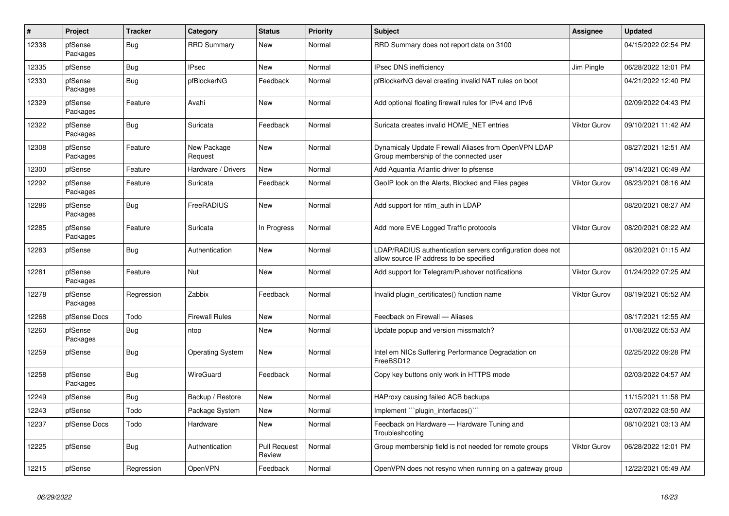| $\sharp$ | Project             | <b>Tracker</b> | Category                | <b>Status</b>                 | <b>Priority</b> | <b>Subject</b>                                                                                       | Assignee     | <b>Updated</b>      |
|----------|---------------------|----------------|-------------------------|-------------------------------|-----------------|------------------------------------------------------------------------------------------------------|--------------|---------------------|
| 12338    | pfSense<br>Packages | <b>Bug</b>     | <b>RRD Summary</b>      | <b>New</b>                    | Normal          | RRD Summary does not report data on 3100                                                             |              | 04/15/2022 02:54 PM |
| 12335    | pfSense             | Bug            | <b>IPsec</b>            | <b>New</b>                    | Normal          | <b>IPsec DNS inefficiency</b>                                                                        | Jim Pingle   | 06/28/2022 12:01 PM |
| 12330    | pfSense<br>Packages | Bug            | pfBlockerNG             | Feedback                      | Normal          | pfBlockerNG devel creating invalid NAT rules on boot                                                 |              | 04/21/2022 12:40 PM |
| 12329    | pfSense<br>Packages | Feature        | Avahi                   | <b>New</b>                    | Normal          | Add optional floating firewall rules for IPv4 and IPv6                                               |              | 02/09/2022 04:43 PM |
| 12322    | pfSense<br>Packages | Bug            | Suricata                | Feedback                      | Normal          | Suricata creates invalid HOME NET entries                                                            | Viktor Gurov | 09/10/2021 11:42 AM |
| 12308    | pfSense<br>Packages | Feature        | New Package<br>Request  | <b>New</b>                    | Normal          | Dynamicaly Update Firewall Aliases from OpenVPN LDAP<br>Group membership of the connected user       |              | 08/27/2021 12:51 AM |
| 12300    | pfSense             | Feature        | Hardware / Drivers      | <b>New</b>                    | Normal          | Add Aquantia Atlantic driver to pfsense                                                              |              | 09/14/2021 06:49 AM |
| 12292    | pfSense<br>Packages | Feature        | Suricata                | Feedback                      | Normal          | GeoIP look on the Alerts, Blocked and Files pages                                                    | Viktor Gurov | 08/23/2021 08:16 AM |
| 12286    | pfSense<br>Packages | Bug            | FreeRADIUS              | New                           | Normal          | Add support for ntlm auth in LDAP                                                                    |              | 08/20/2021 08:27 AM |
| 12285    | pfSense<br>Packages | Feature        | Suricata                | In Progress                   | Normal          | Add more EVE Logged Traffic protocols                                                                | Viktor Gurov | 08/20/2021 08:22 AM |
| 12283    | pfSense             | Bug            | Authentication          | New                           | Normal          | LDAP/RADIUS authentication servers configuration does not<br>allow source IP address to be specified |              | 08/20/2021 01:15 AM |
| 12281    | pfSense<br>Packages | Feature        | Nut                     | <b>New</b>                    | Normal          | Add support for Telegram/Pushover notifications                                                      | Viktor Gurov | 01/24/2022 07:25 AM |
| 12278    | pfSense<br>Packages | Regression     | Zabbix                  | Feedback                      | Normal          | Invalid plugin certificates() function name                                                          | Viktor Gurov | 08/19/2021 05:52 AM |
| 12268    | pfSense Docs        | Todo           | <b>Firewall Rules</b>   | <b>New</b>                    | Normal          | Feedback on Firewall - Aliases                                                                       |              | 08/17/2021 12:55 AM |
| 12260    | pfSense<br>Packages | <b>Bug</b>     | ntop                    | <b>New</b>                    | Normal          | Update popup and version missmatch?                                                                  |              | 01/08/2022 05:53 AM |
| 12259    | pfSense             | <b>Bug</b>     | <b>Operating System</b> | New                           | Normal          | Intel em NICs Suffering Performance Degradation on<br>FreeBSD12                                      |              | 02/25/2022 09:28 PM |
| 12258    | pfSense<br>Packages | <b>Bug</b>     | WireGuard               | Feedback                      | Normal          | Copy key buttons only work in HTTPS mode                                                             |              | 02/03/2022 04:57 AM |
| 12249    | pfSense             | <b>Bug</b>     | Backup / Restore        | <b>New</b>                    | Normal          | HAProxy causing failed ACB backups                                                                   |              | 11/15/2021 11:58 PM |
| 12243    | pfSense             | Todo           | Package System          | New                           | Normal          | Implement "plugin interfaces()"                                                                      |              | 02/07/2022 03:50 AM |
| 12237    | pfSense Docs        | Todo           | Hardware                | <b>New</b>                    | Normal          | Feedback on Hardware - Hardware Tuning and<br>Troubleshooting                                        |              | 08/10/2021 03:13 AM |
| 12225    | pfSense             | Bug            | Authentication          | <b>Pull Request</b><br>Review | Normal          | Group membership field is not needed for remote groups                                               | Viktor Gurov | 06/28/2022 12:01 PM |
| 12215    | pfSense             | Regression     | OpenVPN                 | Feedback                      | Normal          | OpenVPN does not resync when running on a gateway group                                              |              | 12/22/2021 05:49 AM |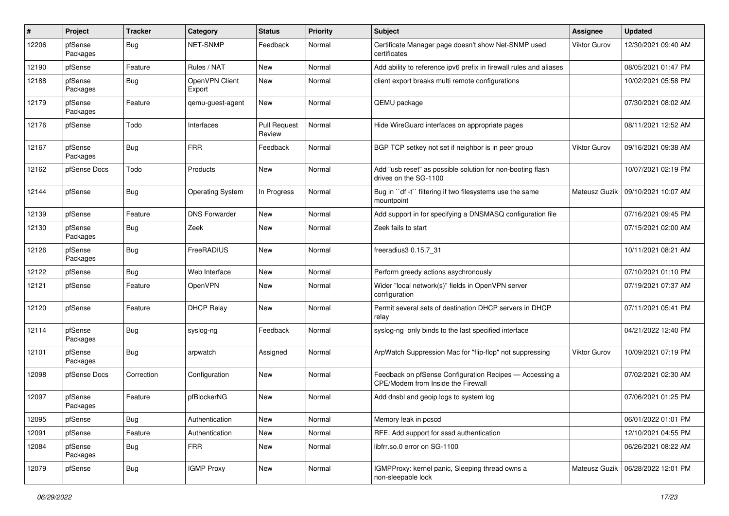| #     | Project             | <b>Tracker</b> | Category                 | <b>Status</b>                 | <b>Priority</b> | <b>Subject</b>                                                                                | <b>Assignee</b>     | <b>Updated</b>      |
|-------|---------------------|----------------|--------------------------|-------------------------------|-----------------|-----------------------------------------------------------------------------------------------|---------------------|---------------------|
| 12206 | pfSense<br>Packages | Bug            | NET-SNMP                 | Feedback                      | Normal          | Certificate Manager page doesn't show Net-SNMP used<br>certificates                           | Viktor Gurov        | 12/30/2021 09:40 AM |
| 12190 | pfSense             | Feature        | Rules / NAT              | New                           | Normal          | Add ability to reference ipv6 prefix in firewall rules and aliases                            |                     | 08/05/2021 01:47 PM |
| 12188 | pfSense<br>Packages | Bug            | OpenVPN Client<br>Export | New                           | Normal          | client export breaks multi remote configurations                                              |                     | 10/02/2021 05:58 PM |
| 12179 | pfSense<br>Packages | Feature        | qemu-guest-agent         | New                           | Normal          | QEMU package                                                                                  |                     | 07/30/2021 08:02 AM |
| 12176 | pfSense             | Todo           | Interfaces               | <b>Pull Request</b><br>Review | Normal          | Hide WireGuard interfaces on appropriate pages                                                |                     | 08/11/2021 12:52 AM |
| 12167 | pfSense<br>Packages | Bug            | <b>FRR</b>               | Feedback                      | Normal          | BGP TCP setkey not set if neighbor is in peer group                                           | <b>Viktor Gurov</b> | 09/16/2021 09:38 AM |
| 12162 | pfSense Docs        | Todo           | Products                 | New                           | Normal          | Add "usb reset" as possible solution for non-booting flash<br>drives on the SG-1100           |                     | 10/07/2021 02:19 PM |
| 12144 | pfSense             | <b>Bug</b>     | <b>Operating System</b>  | In Progress                   | Normal          | Bug in "df -t" filtering if two filesystems use the same<br>mountpoint                        | Mateusz Guzik       | 09/10/2021 10:07 AM |
| 12139 | pfSense             | Feature        | <b>DNS Forwarder</b>     | New                           | Normal          | Add support in for specifying a DNSMASQ configuration file                                    |                     | 07/16/2021 09:45 PM |
| 12130 | pfSense<br>Packages | Bug            | Zeek                     | New                           | Normal          | Zeek fails to start                                                                           |                     | 07/15/2021 02:00 AM |
| 12126 | pfSense<br>Packages | <b>Bug</b>     | FreeRADIUS               | <b>New</b>                    | Normal          | freeradius3 0.15.7 31                                                                         |                     | 10/11/2021 08:21 AM |
| 12122 | pfSense             | Bug            | Web Interface            | New                           | Normal          | Perform greedy actions asychronously                                                          |                     | 07/10/2021 01:10 PM |
| 12121 | pfSense             | Feature        | OpenVPN                  | New                           | Normal          | Wider "local network(s)" fields in OpenVPN server<br>configuration                            |                     | 07/19/2021 07:37 AM |
| 12120 | pfSense             | Feature        | <b>DHCP Relay</b>        | New                           | Normal          | Permit several sets of destination DHCP servers in DHCP<br>relay                              |                     | 07/11/2021 05:41 PM |
| 12114 | pfSense<br>Packages | <b>Bug</b>     | syslog-ng                | Feedback                      | Normal          | syslog-ng only binds to the last specified interface                                          |                     | 04/21/2022 12:40 PM |
| 12101 | pfSense<br>Packages | <b>Bug</b>     | arpwatch                 | Assigned                      | Normal          | ArpWatch Suppression Mac for "flip-flop" not suppressing                                      | Viktor Gurov        | 10/09/2021 07:19 PM |
| 12098 | pfSense Docs        | Correction     | Configuration            | <b>New</b>                    | Normal          | Feedback on pfSense Configuration Recipes - Accessing a<br>CPE/Modem from Inside the Firewall |                     | 07/02/2021 02:30 AM |
| 12097 | pfSense<br>Packages | Feature        | pfBlockerNG              | New                           | Normal          | Add dnsbl and geoip logs to system log                                                        |                     | 07/06/2021 01:25 PM |
| 12095 | pfSense             | <b>Bug</b>     | Authentication           | New                           | Normal          | Memory leak in pcscd                                                                          |                     | 06/01/2022 01:01 PM |
| 12091 | pfSense             | Feature        | Authentication           | <b>New</b>                    | Normal          | RFE: Add support for sssd authentication                                                      |                     | 12/10/2021 04:55 PM |
| 12084 | pfSense<br>Packages | <b>Bug</b>     | <b>FRR</b>               | New                           | Normal          | libfrr.so.0 error on SG-1100                                                                  |                     | 06/26/2021 08:22 AM |
| 12079 | pfSense             | <b>Bug</b>     | <b>IGMP Proxy</b>        | New                           | Normal          | IGMPProxy: kernel panic, Sleeping thread owns a<br>non-sleepable lock                         | Mateusz Guzik       | 06/28/2022 12:01 PM |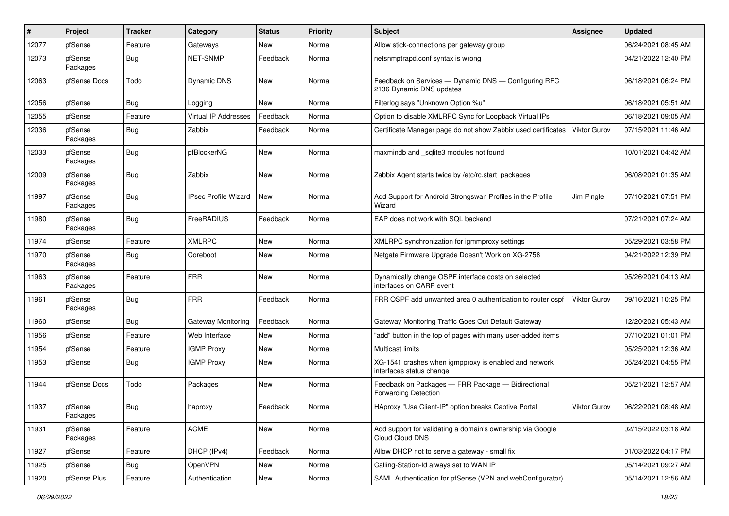| #     | Project             | <b>Tracker</b> | Category                    | <b>Status</b> | <b>Priority</b> | <b>Subject</b>                                                                    | <b>Assignee</b>     | <b>Updated</b>      |
|-------|---------------------|----------------|-----------------------------|---------------|-----------------|-----------------------------------------------------------------------------------|---------------------|---------------------|
| 12077 | pfSense             | Feature        | Gateways                    | New           | Normal          | Allow stick-connections per gateway group                                         |                     | 06/24/2021 08:45 AM |
| 12073 | pfSense<br>Packages | Bug            | <b>NET-SNMP</b>             | Feedback      | Normal          | netsnmptrapd.conf syntax is wrong                                                 |                     | 04/21/2022 12:40 PM |
| 12063 | pfSense Docs        | Todo           | Dynamic DNS                 | New           | Normal          | Feedback on Services - Dynamic DNS - Configuring RFC<br>2136 Dynamic DNS updates  |                     | 06/18/2021 06:24 PM |
| 12056 | pfSense             | Bug            | Logging                     | New           | Normal          | Filterlog says "Unknown Option %u"                                                |                     | 06/18/2021 05:51 AM |
| 12055 | pfSense             | Feature        | <b>Virtual IP Addresses</b> | Feedback      | Normal          | Option to disable XMLRPC Sync for Loopback Virtual IPs                            |                     | 06/18/2021 09:05 AM |
| 12036 | pfSense<br>Packages | <b>Bug</b>     | Zabbix                      | Feedback      | Normal          | Certificate Manager page do not show Zabbix used certificates                     | <b>Viktor Gurov</b> | 07/15/2021 11:46 AM |
| 12033 | pfSense<br>Packages | <b>Bug</b>     | pfBlockerNG                 | New           | Normal          | maxmindb and _sqlite3 modules not found                                           |                     | 10/01/2021 04:42 AM |
| 12009 | pfSense<br>Packages | <b>Bug</b>     | Zabbix                      | New           | Normal          | Zabbix Agent starts twice by /etc/rc.start_packages                               |                     | 06/08/2021 01:35 AM |
| 11997 | pfSense<br>Packages | <b>Bug</b>     | <b>IPsec Profile Wizard</b> | New           | Normal          | Add Support for Android Strongswan Profiles in the Profile<br>Wizard              | Jim Pingle          | 07/10/2021 07:51 PM |
| 11980 | pfSense<br>Packages | <b>Bug</b>     | FreeRADIUS                  | Feedback      | Normal          | EAP does not work with SQL backend                                                |                     | 07/21/2021 07:24 AM |
| 11974 | pfSense             | Feature        | <b>XMLRPC</b>               | New           | Normal          | XMLRPC synchronization for igmmproxy settings                                     |                     | 05/29/2021 03:58 PM |
| 11970 | pfSense<br>Packages | <b>Bug</b>     | Coreboot                    | New           | Normal          | Netgate Firmware Upgrade Doesn't Work on XG-2758                                  |                     | 04/21/2022 12:39 PM |
| 11963 | pfSense<br>Packages | Feature        | <b>FRR</b>                  | New           | Normal          | Dynamically change OSPF interface costs on selected<br>interfaces on CARP event   |                     | 05/26/2021 04:13 AM |
| 11961 | pfSense<br>Packages | Bug            | <b>FRR</b>                  | Feedback      | Normal          | FRR OSPF add unwanted area 0 authentication to router ospf                        | <b>Viktor Gurov</b> | 09/16/2021 10:25 PM |
| 11960 | pfSense             | Bug            | Gateway Monitoring          | Feedback      | Normal          | Gateway Monitoring Traffic Goes Out Default Gateway                               |                     | 12/20/2021 05:43 AM |
| 11956 | pfSense             | Feature        | Web Interface               | New           | Normal          | "add" button in the top of pages with many user-added items                       |                     | 07/10/2021 01:01 PM |
| 11954 | pfSense             | Feature        | <b>IGMP Proxy</b>           | New           | Normal          | <b>Multicast limits</b>                                                           |                     | 05/25/2021 12:36 AM |
| 11953 | pfSense             | <b>Bug</b>     | <b>IGMP Proxy</b>           | New           | Normal          | XG-1541 crashes when igmpproxy is enabled and network<br>interfaces status change |                     | 05/24/2021 04:55 PM |
| 11944 | pfSense Docs        | Todo           | Packages                    | New           | Normal          | Feedback on Packages - FRR Package - Bidirectional<br>Forwarding Detection        |                     | 05/21/2021 12:57 AM |
| 11937 | pfSense<br>Packages | Bug            | haproxy                     | Feedback      | Normal          | HAproxy "Use Client-IP" option breaks Captive Portal                              | Viktor Gurov        | 06/22/2021 08:48 AM |
| 11931 | pfSense<br>Packages | Feature        | ACME                        | New           | Normal          | Add support for validating a domain's ownership via Google<br>Cloud Cloud DNS     |                     | 02/15/2022 03:18 AM |
| 11927 | pfSense             | Feature        | DHCP (IPv4)                 | Feedback      | Normal          | Allow DHCP not to serve a gateway - small fix                                     |                     | 01/03/2022 04:17 PM |
| 11925 | pfSense             | <b>Bug</b>     | OpenVPN                     | New           | Normal          | Calling-Station-Id always set to WAN IP                                           |                     | 05/14/2021 09:27 AM |
| 11920 | pfSense Plus        | Feature        | Authentication              | New           | Normal          | SAML Authentication for pfSense (VPN and webConfigurator)                         |                     | 05/14/2021 12:56 AM |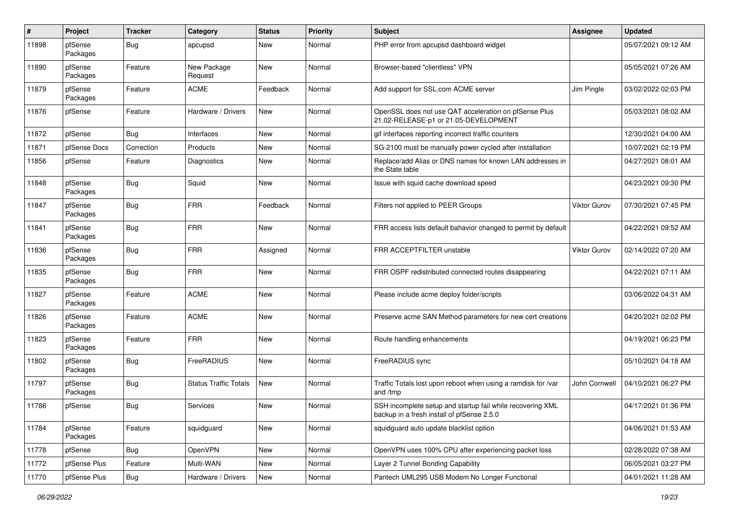| #     | Project             | <b>Tracker</b> | Category                     | <b>Status</b> | <b>Priority</b> | Subject                                                                                                  | <b>Assignee</b>     | <b>Updated</b>      |
|-------|---------------------|----------------|------------------------------|---------------|-----------------|----------------------------------------------------------------------------------------------------------|---------------------|---------------------|
| 11898 | pfSense<br>Packages | <b>Bug</b>     | apcupsd                      | New           | Normal          | PHP error from apcupsd dashboard widget                                                                  |                     | 05/07/2021 09:12 AM |
| 11890 | pfSense<br>Packages | Feature        | New Package<br>Request       | New           | Normal          | Browser-based "clientless" VPN                                                                           |                     | 05/05/2021 07:26 AM |
| 11879 | pfSense<br>Packages | Feature        | <b>ACME</b>                  | Feedback      | Normal          | Add support for SSL.com ACME server                                                                      | Jim Pingle          | 03/02/2022 02:03 PM |
| 11876 | pfSense             | Feature        | Hardware / Drivers           | New           | Normal          | OpenSSL does not use QAT acceleration on pfSense Plus<br>21.02-RELEASE-p1 or 21.05-DEVELOPMENT           |                     | 05/03/2021 08:02 AM |
| 11872 | pfSense             | <b>Bug</b>     | Interfaces                   | New           | Normal          | gif interfaces reporting incorrect traffic counters                                                      |                     | 12/30/2021 04:00 AM |
| 11871 | pfSense Docs        | Correction     | Products                     | New           | Normal          | SG-2100 must be manually power cycled after installation                                                 |                     | 10/07/2021 02:19 PM |
| 11856 | pfSense             | Feature        | Diagnostics                  | New           | Normal          | Replace/add Alias or DNS names for known LAN addresses in<br>the State table                             |                     | 04/27/2021 08:01 AM |
| 11848 | pfSense<br>Packages | <b>Bug</b>     | Squid                        | <b>New</b>    | Normal          | Issue with squid cache download speed                                                                    |                     | 04/23/2021 09:30 PM |
| 11847 | pfSense<br>Packages | Bug            | <b>FRR</b>                   | Feedback      | Normal          | Filters not applied to PEER Groups                                                                       | Viktor Gurov        | 07/30/2021 07:45 PM |
| 11841 | pfSense<br>Packages | <b>Bug</b>     | <b>FRR</b>                   | New           | Normal          | FRR access lists default bahavior changed to permit by default                                           |                     | 04/22/2021 09:52 AM |
| 11836 | pfSense<br>Packages | <b>Bug</b>     | <b>FRR</b>                   | Assigned      | Normal          | FRR ACCEPTFILTER unstable                                                                                | <b>Viktor Gurov</b> | 02/14/2022 07:20 AM |
| 11835 | pfSense<br>Packages | <b>Bug</b>     | <b>FRR</b>                   | New           | Normal          | FRR OSPF redistributed connected routes disappearing                                                     |                     | 04/22/2021 07:11 AM |
| 11827 | pfSense<br>Packages | Feature        | <b>ACME</b>                  | New           | Normal          | Please include acme deploy folder/scripts                                                                |                     | 03/06/2022 04:31 AM |
| 11826 | pfSense<br>Packages | Feature        | <b>ACME</b>                  | New           | Normal          | Preserve acme SAN Method parameters for new cert creations                                               |                     | 04/20/2021 02:02 PM |
| 11823 | pfSense<br>Packages | Feature        | <b>FRR</b>                   | <b>New</b>    | Normal          | Route handling enhancements                                                                              |                     | 04/19/2021 06:23 PM |
| 11802 | pfSense<br>Packages | Bug            | FreeRADIUS                   | New           | Normal          | FreeRADIUS sync                                                                                          |                     | 05/10/2021 04:18 AM |
| 11797 | pfSense<br>Packages | Bug            | <b>Status Traffic Totals</b> | New           | Normal          | Traffic Totals lost upon reboot when using a ramdisk for /var<br>and /tmp                                | John Cornwell       | 04/10/2021 06:27 PM |
| 11786 | pfSense             | Bug            | Services                     | New           | Normal          | SSH incomplete setup and startup fail while recovering XML<br>backup in a fresh install of pfSense 2.5.0 |                     | 04/17/2021 01:36 PM |
| 11784 | pfSense<br>Packages | Feature        | squidguard                   | New           | Normal          | squidguard auto update blacklist option                                                                  |                     | 04/06/2021 01:53 AM |
| 11778 | pfSense             | <b>Bug</b>     | OpenVPN                      | New           | Normal          | OpenVPN uses 100% CPU after experiencing packet loss                                                     |                     | 02/28/2022 07:38 AM |
| 11772 | pfSense Plus        | Feature        | Multi-WAN                    | New           | Normal          | Layer 2 Tunnel Bonding Capability                                                                        |                     | 06/05/2021 03:27 PM |
| 11770 | pfSense Plus        | Bug            | Hardware / Drivers           | New           | Normal          | Pantech UML295 USB Modem No Longer Functional                                                            |                     | 04/01/2021 11:28 AM |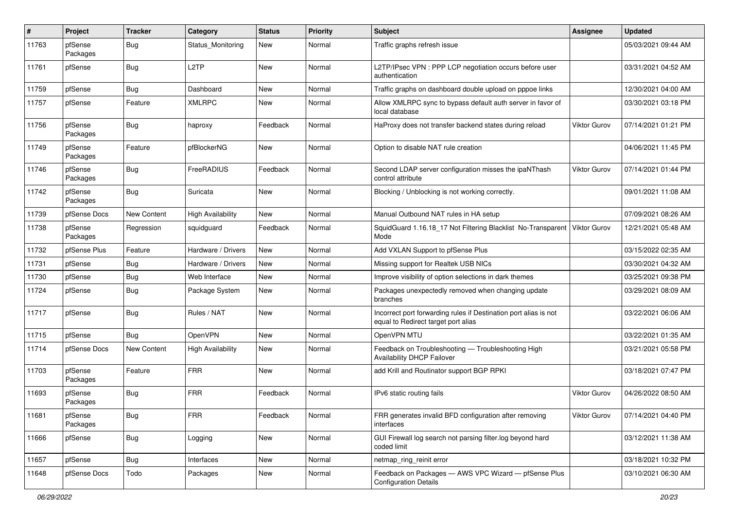| #     | Project             | <b>Tracker</b> | Category                 | <b>Status</b> | <b>Priority</b> | <b>Subject</b>                                                                                          | <b>Assignee</b>     | <b>Updated</b>      |
|-------|---------------------|----------------|--------------------------|---------------|-----------------|---------------------------------------------------------------------------------------------------------|---------------------|---------------------|
| 11763 | pfSense<br>Packages | Bug            | Status_Monitoring        | New           | Normal          | Traffic graphs refresh issue                                                                            |                     | 05/03/2021 09:44 AM |
| 11761 | pfSense             | <b>Bug</b>     | L2TP                     | New           | Normal          | L2TP/IPsec VPN : PPP LCP negotiation occurs before user<br>authentication                               |                     | 03/31/2021 04:52 AM |
| 11759 | pfSense             | <b>Bug</b>     | Dashboard                | New           | Normal          | Traffic graphs on dashboard double upload on pppoe links                                                |                     | 12/30/2021 04:00 AM |
| 11757 | pfSense             | Feature        | <b>XMLRPC</b>            | New           | Normal          | Allow XMLRPC sync to bypass default auth server in favor of<br>local database                           |                     | 03/30/2021 03:18 PM |
| 11756 | pfSense<br>Packages | <b>Bug</b>     | haproxy                  | Feedback      | Normal          | HaProxy does not transfer backend states during reload                                                  | <b>Viktor Gurov</b> | 07/14/2021 01:21 PM |
| 11749 | pfSense<br>Packages | Feature        | pfBlockerNG              | New           | Normal          | Option to disable NAT rule creation                                                                     |                     | 04/06/2021 11:45 PM |
| 11746 | pfSense<br>Packages | Bug            | FreeRADIUS               | Feedback      | Normal          | Second LDAP server configuration misses the ipaNThash<br>control attribute                              | <b>Viktor Gurov</b> | 07/14/2021 01:44 PM |
| 11742 | pfSense<br>Packages | <b>Bug</b>     | Suricata                 | New           | Normal          | Blocking / Unblocking is not working correctly.                                                         |                     | 09/01/2021 11:08 AM |
| 11739 | pfSense Docs        | New Content    | <b>High Availability</b> | New           | Normal          | Manual Outbound NAT rules in HA setup                                                                   |                     | 07/09/2021 08:26 AM |
| 11738 | pfSense<br>Packages | Regression     | squidguard               | Feedback      | Normal          | SquidGuard 1.16.18_17 Not Filtering Blacklist No-Transparent<br>Mode                                    | <b>Viktor Gurov</b> | 12/21/2021 05:48 AM |
| 11732 | pfSense Plus        | Feature        | Hardware / Drivers       | <b>New</b>    | Normal          | Add VXLAN Support to pfSense Plus                                                                       |                     | 03/15/2022 02:35 AM |
| 11731 | pfSense             | Bug            | Hardware / Drivers       | New           | Normal          | Missing support for Realtek USB NICs                                                                    |                     | 03/30/2021 04:32 AM |
| 11730 | pfSense             | Bug            | Web Interface            | <b>New</b>    | Normal          | Improve visibility of option selections in dark themes                                                  |                     | 03/25/2021 09:38 PM |
| 11724 | pfSense             | Bug            | Package System           | New           | Normal          | Packages unexpectedly removed when changing update<br>branches                                          |                     | 03/29/2021 08:09 AM |
| 11717 | pfSense             | <b>Bug</b>     | Rules / NAT              | New           | Normal          | Incorrect port forwarding rules if Destination port alias is not<br>equal to Redirect target port alias |                     | 03/22/2021 06:06 AM |
| 11715 | pfSense             | Bug            | OpenVPN                  | <b>New</b>    | Normal          | OpenVPN MTU                                                                                             |                     | 03/22/2021 01:35 AM |
| 11714 | pfSense Docs        | New Content    | <b>High Availability</b> | <b>New</b>    | Normal          | Feedback on Troubleshooting - Troubleshooting High<br><b>Availability DHCP Failover</b>                 |                     | 03/21/2021 05:58 PM |
| 11703 | pfSense<br>Packages | Feature        | <b>FRR</b>               | <b>New</b>    | Normal          | add Krill and Routinator support BGP RPKI                                                               |                     | 03/18/2021 07:47 PM |
| 11693 | pfSense<br>Packages | Bug            | <b>FRR</b>               | Feedback      | Normal          | IPv6 static routing fails                                                                               | Viktor Gurov        | 04/26/2022 08:50 AM |
| 11681 | pfSense<br>Packages | <b>Bug</b>     | <b>FRR</b>               | Feedback      | Normal          | FRR generates invalid BFD configuration after removing<br>interfaces                                    | Viktor Gurov        | 07/14/2021 04:40 PM |
| 11666 | pfSense             | <b>Bug</b>     | Logging                  | New           | Normal          | GUI Firewall log search not parsing filter.log beyond hard<br>coded limit                               |                     | 03/12/2021 11:38 AM |
| 11657 | pfSense             | <b>Bug</b>     | Interfaces               | New           | Normal          | netmap_ring_reinit error                                                                                |                     | 03/18/2021 10:32 PM |
| 11648 | pfSense Docs        | Todo           | Packages                 | New           | Normal          | Feedback on Packages - AWS VPC Wizard - pfSense Plus<br><b>Configuration Details</b>                    |                     | 03/10/2021 06:30 AM |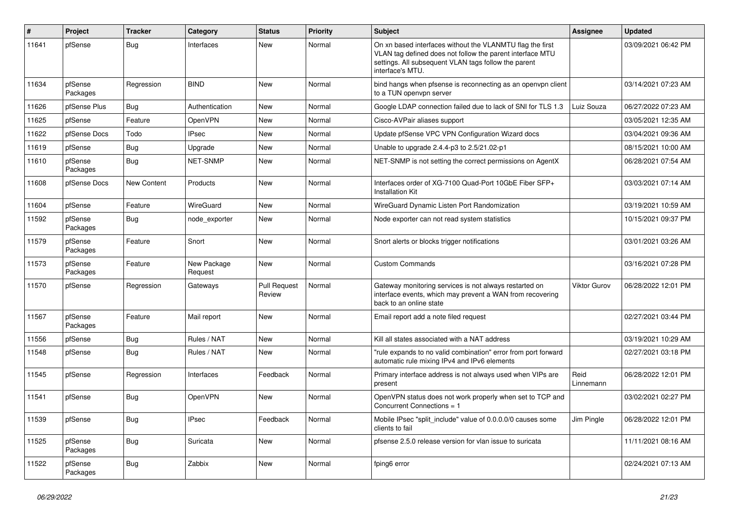| #     | Project             | <b>Tracker</b>     | Category               | <b>Status</b>                 | <b>Priority</b> | <b>Subject</b>                                                                                                                                                                                     | Assignee          | <b>Updated</b>      |
|-------|---------------------|--------------------|------------------------|-------------------------------|-----------------|----------------------------------------------------------------------------------------------------------------------------------------------------------------------------------------------------|-------------------|---------------------|
| 11641 | pfSense             | Bug                | Interfaces             | New                           | Normal          | On xn based interfaces without the VLANMTU flag the first<br>VLAN tag defined does not follow the parent interface MTU<br>settings. All subsequent VLAN tags follow the parent<br>interface's MTU. |                   | 03/09/2021 06:42 PM |
| 11634 | pfSense<br>Packages | Regression         | <b>BIND</b>            | <b>New</b>                    | Normal          | bind hangs when pfsense is reconnecting as an openvpn client<br>to a TUN openvpn server                                                                                                            |                   | 03/14/2021 07:23 AM |
| 11626 | pfSense Plus        | <b>Bug</b>         | Authentication         | <b>New</b>                    | Normal          | Google LDAP connection failed due to lack of SNI for TLS 1.3                                                                                                                                       | Luiz Souza        | 06/27/2022 07:23 AM |
| 11625 | pfSense             | Feature            | OpenVPN                | New                           | Normal          | Cisco-AVPair aliases support                                                                                                                                                                       |                   | 03/05/2021 12:35 AM |
| 11622 | pfSense Docs        | Todo               | IPsec                  | New                           | Normal          | Update pfSense VPC VPN Configuration Wizard docs                                                                                                                                                   |                   | 03/04/2021 09:36 AM |
| 11619 | pfSense             | Bug                | Upgrade                | New                           | Normal          | Unable to upgrade 2.4.4-p3 to 2.5/21.02-p1                                                                                                                                                         |                   | 08/15/2021 10:00 AM |
| 11610 | pfSense<br>Packages | Bug                | <b>NET-SNMP</b>        | <b>New</b>                    | Normal          | NET-SNMP is not setting the correct permissions on AgentX                                                                                                                                          |                   | 06/28/2021 07:54 AM |
| 11608 | pfSense Docs        | <b>New Content</b> | Products               | <b>New</b>                    | Normal          | Interfaces order of XG-7100 Quad-Port 10GbE Fiber SFP+<br><b>Installation Kit</b>                                                                                                                  |                   | 03/03/2021 07:14 AM |
| 11604 | pfSense             | Feature            | WireGuard              | New                           | Normal          | WireGuard Dynamic Listen Port Randomization                                                                                                                                                        |                   | 03/19/2021 10:59 AM |
| 11592 | pfSense<br>Packages | Bug                | node exporter          | New                           | Normal          | Node exporter can not read system statistics                                                                                                                                                       |                   | 10/15/2021 09:37 PM |
| 11579 | pfSense<br>Packages | Feature            | Snort                  | New                           | Normal          | Snort alerts or blocks trigger notifications                                                                                                                                                       |                   | 03/01/2021 03:26 AM |
| 11573 | pfSense<br>Packages | Feature            | New Package<br>Request | <b>New</b>                    | Normal          | <b>Custom Commands</b>                                                                                                                                                                             |                   | 03/16/2021 07:28 PM |
| 11570 | pfSense             | Regression         | Gateways               | <b>Pull Request</b><br>Review | Normal          | Gateway monitoring services is not always restarted on<br>interface events, which may prevent a WAN from recovering<br>back to an online state                                                     | Viktor Gurov      | 06/28/2022 12:01 PM |
| 11567 | pfSense<br>Packages | Feature            | Mail report            | New                           | Normal          | Email report add a note filed request                                                                                                                                                              |                   | 02/27/2021 03:44 PM |
| 11556 | pfSense             | <b>Bug</b>         | Rules / NAT            | New                           | Normal          | Kill all states associated with a NAT address                                                                                                                                                      |                   | 03/19/2021 10:29 AM |
| 11548 | pfSense             | <b>Bug</b>         | Rules / NAT            | New                           | Normal          | "rule expands to no valid combination" error from port forward<br>automatic rule mixing IPv4 and IPv6 elements                                                                                     |                   | 02/27/2021 03:18 PM |
| 11545 | pfSense             | Regression         | Interfaces             | Feedback                      | Normal          | Primary interface address is not always used when VIPs are<br>present                                                                                                                              | Reid<br>Linnemann | 06/28/2022 12:01 PM |
| 11541 | pfSense             | <b>Bug</b>         | <b>OpenVPN</b>         | New                           | Normal          | OpenVPN status does not work properly when set to TCP and<br>Concurrent Connections = $1$                                                                                                          |                   | 03/02/2021 02:27 PM |
| 11539 | pfSense             | <b>Bug</b>         | <b>IPsec</b>           | Feedback                      | Normal          | Mobile IPsec "split_include" value of 0.0.0.0/0 causes some<br>clients to fail                                                                                                                     | Jim Pingle        | 06/28/2022 12:01 PM |
| 11525 | pfSense<br>Packages | Bug                | Suricata               | New                           | Normal          | pfsense 2.5.0 release version for vlan issue to suricata                                                                                                                                           |                   | 11/11/2021 08:16 AM |
| 11522 | pfSense<br>Packages | <b>Bug</b>         | Zabbix                 | <b>New</b>                    | Normal          | fping6 error                                                                                                                                                                                       |                   | 02/24/2021 07:13 AM |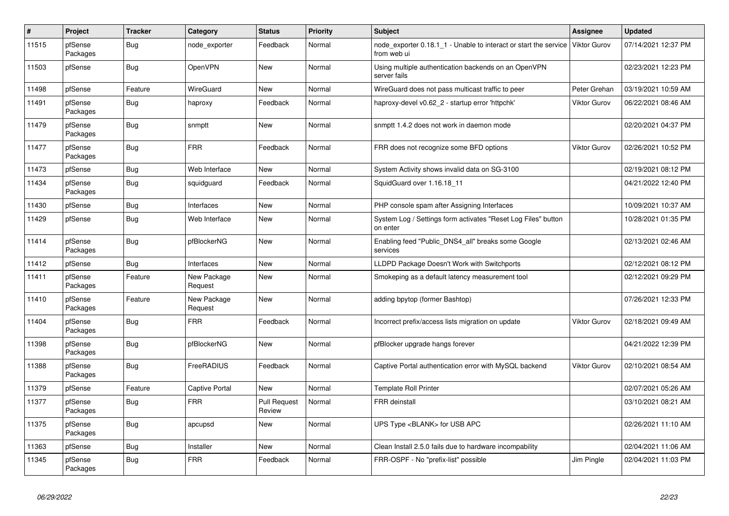| $\overline{\boldsymbol{t}}$ | Project             | <b>Tracker</b> | Category               | <b>Status</b>                 | <b>Priority</b> | <b>Subject</b>                                                                  | <b>Assignee</b>     | <b>Updated</b>      |
|-----------------------------|---------------------|----------------|------------------------|-------------------------------|-----------------|---------------------------------------------------------------------------------|---------------------|---------------------|
| 11515                       | pfSense<br>Packages | Bug            | node exporter          | Feedback                      | Normal          | node exporter 0.18.1 1 - Unable to interact or start the service<br>from web ui | <b>Viktor Gurov</b> | 07/14/2021 12:37 PM |
| 11503                       | pfSense             | <b>Bug</b>     | OpenVPN                | New                           | Normal          | Using multiple authentication backends on an OpenVPN<br>server fails            |                     | 02/23/2021 12:23 PM |
| 11498                       | pfSense             | Feature        | WireGuard              | <b>New</b>                    | Normal          | WireGuard does not pass multicast traffic to peer                               | Peter Grehan        | 03/19/2021 10:59 AM |
| 11491                       | pfSense<br>Packages | Bug            | haproxy                | Feedback                      | Normal          | haproxy-devel v0.62 2 - startup error 'httpchk'                                 | Viktor Gurov        | 06/22/2021 08:46 AM |
| 11479                       | pfSense<br>Packages | Bug            | snmptt                 | <b>New</b>                    | Normal          | snmptt 1.4.2 does not work in daemon mode                                       |                     | 02/20/2021 04:37 PM |
| 11477                       | pfSense<br>Packages | Bug            | <b>FRR</b>             | Feedback                      | Normal          | FRR does not recognize some BFD options                                         | Viktor Gurov        | 02/26/2021 10:52 PM |
| 11473                       | pfSense             | <b>Bug</b>     | Web Interface          | New                           | Normal          | System Activity shows invalid data on SG-3100                                   |                     | 02/19/2021 08:12 PM |
| 11434                       | pfSense<br>Packages | Bug            | squidguard             | Feedback                      | Normal          | SquidGuard over 1.16.18 11                                                      |                     | 04/21/2022 12:40 PM |
| 11430                       | pfSense             | Bug            | Interfaces             | <b>New</b>                    | Normal          | PHP console spam after Assigning Interfaces                                     |                     | 10/09/2021 10:37 AM |
| 11429                       | pfSense             | <b>Bug</b>     | Web Interface          | <b>New</b>                    | Normal          | System Log / Settings form activates "Reset Log Files" button<br>on enter       |                     | 10/28/2021 01:35 PM |
| 11414                       | pfSense<br>Packages | Bug            | pfBlockerNG            | <b>New</b>                    | Normal          | Enabling feed "Public_DNS4_all" breaks some Google<br>services                  |                     | 02/13/2021 02:46 AM |
| 11412                       | pfSense             | Bug            | Interfaces             | <b>New</b>                    | Normal          | LLDPD Package Doesn't Work with Switchports                                     |                     | 02/12/2021 08:12 PM |
| 11411                       | pfSense<br>Packages | Feature        | New Package<br>Request | <b>New</b>                    | Normal          | Smokeping as a default latency measurement tool                                 |                     | 02/12/2021 09:29 PM |
| 11410                       | pfSense<br>Packages | Feature        | New Package<br>Request | New                           | Normal          | adding bpytop (former Bashtop)                                                  |                     | 07/26/2021 12:33 PM |
| 11404                       | pfSense<br>Packages | Bug            | <b>FRR</b>             | Feedback                      | Normal          | Incorrect prefix/access lists migration on update                               | Viktor Gurov        | 02/18/2021 09:49 AM |
| 11398                       | pfSense<br>Packages | Bug            | pfBlockerNG            | <b>New</b>                    | Normal          | pfBlocker upgrade hangs forever                                                 |                     | 04/21/2022 12:39 PM |
| 11388                       | pfSense<br>Packages | Bug            | FreeRADIUS             | Feedback                      | Normal          | Captive Portal authentication error with MySQL backend                          | Viktor Gurov        | 02/10/2021 08:54 AM |
| 11379                       | pfSense             | Feature        | Captive Portal         | <b>New</b>                    | Normal          | <b>Template Roll Printer</b>                                                    |                     | 02/07/2021 05:26 AM |
| 11377                       | pfSense<br>Packages | Bug            | <b>FRR</b>             | <b>Pull Request</b><br>Review | Normal          | <b>FRR</b> deinstall                                                            |                     | 03/10/2021 08:21 AM |
| 11375                       | pfSense<br>Packages | <b>Bug</b>     | apcupsd                | <b>New</b>                    | Normal          | UPS Type <blank> for USB APC</blank>                                            |                     | 02/26/2021 11:10 AM |
| 11363                       | pfSense             | Bug            | Installer              | <b>New</b>                    | Normal          | Clean Install 2.5.0 fails due to hardware incompability                         |                     | 02/04/2021 11:06 AM |
| 11345                       | pfSense<br>Packages | Bug            | <b>FRR</b>             | Feedback                      | Normal          | FRR-OSPF - No "prefix-list" possible                                            | Jim Pingle          | 02/04/2021 11:03 PM |